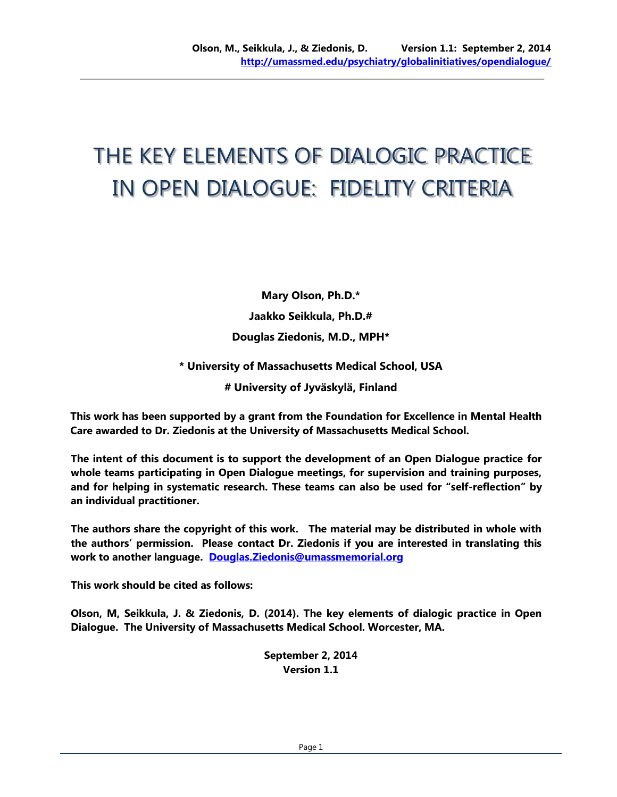# THE KEY ELEMENTS OF DIALOGIC PRACTICE IN OPEN DIALOGUE: FIDELITY CRITERIA

**Mary Olson, Ph.D.\* Jaakko Seikkula, Ph.D.# Douglas Ziedonis, M.D., MPH\***

**\* University of Massachusetts Medical School, USA**

**# University of Jyväskylä, Finland**

**This work has been supported by a grant from the Foundation for Excellence in Mental Health Care awarded to Dr. Ziedonis at the University of Massachusetts Medical School.**

**The intent of this document is to support the development of an Open Dialogue practice for whole teams participating in Open Dialogue meetings, for supervision and training purposes, and for helping in systematic research. These teams can also be used for "self-reflection" by an individual practitioner.**

**The authors share the copyright of this work. The material may be distributed in whole with the authors' permission. Please contact Dr. Ziedonis if you are interested in translating this work to another language. [Douglas.Ziedonis@umassmemorial.org](mailto:Douglas.Ziedonis@umassmemorial.org)**

**This work should be cited as follows:**

**Olson, M, Seikkula, J. & Ziedonis, D. (2014). The key elements of dialogic practice in Open Dialogue. The University of Massachusetts Medical School. Worcester, MA.**

> **September 2, 2014 Version 1.1**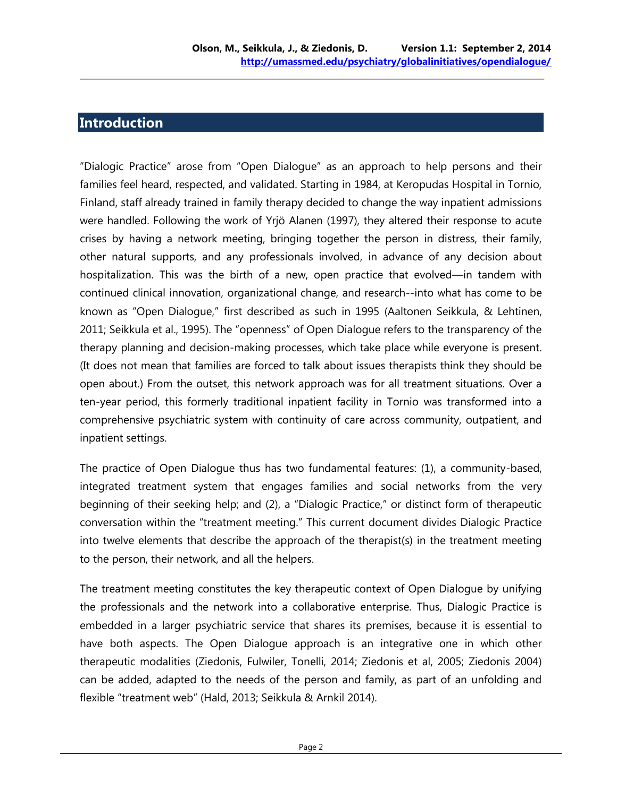#### **Introduction**

"Dialogic Practice" arose from "Open Dialogue" as an approach to help persons and their families feel heard, respected, and validated. Starting in 1984, at Keropudas Hospital in Tornio, Finland, staff already trained in family therapy decided to change the way inpatient admissions were handled. Following the work of Yrjö Alanen (1997), they altered their response to acute crises by having a network meeting, bringing together the person in distress, their family, other natural supports, and any professionals involved, in advance of any decision about hospitalization. This was the birth of a new, open practice that evolved—in tandem with continued clinical innovation, organizational change, and research--into what has come to be known as "Open Dialogue," first described as such in 1995 (Aaltonen Seikkula, & Lehtinen, 2011; Seikkula et al., 1995). The "openness" of Open Dialogue refers to the transparency of the therapy planning and decision-making processes, which take place while everyone is present. (It does not mean that families are forced to talk about issues therapists think they should be open about.) From the outset, this network approach was for all treatment situations. Over a ten-year period, this formerly traditional inpatient facility in Tornio was transformed into a comprehensive psychiatric system with continuity of care across community, outpatient, and inpatient settings.

The practice of Open Dialogue thus has two fundamental features: (1), a community-based, integrated treatment system that engages families and social networks from the very beginning of their seeking help; and (2), a "Dialogic Practice," or distinct form of therapeutic conversation within the "treatment meeting." This current document divides Dialogic Practice into twelve elements that describe the approach of the therapist(s) in the treatment meeting to the person, their network, and all the helpers.

The treatment meeting constitutes the key therapeutic context of Open Dialogue by unifying the professionals and the network into a collaborative enterprise. Thus, Dialogic Practice is embedded in a larger psychiatric service that shares its premises, because it is essential to have both aspects. The Open Dialogue approach is an integrative one in which other therapeutic modalities (Ziedonis, Fulwiler, Tonelli, 2014; Ziedonis et al, 2005; Ziedonis 2004) can be added, adapted to the needs of the person and family, as part of an unfolding and flexible "treatment web" (Hald, 2013; Seikkula & Arnkil 2014).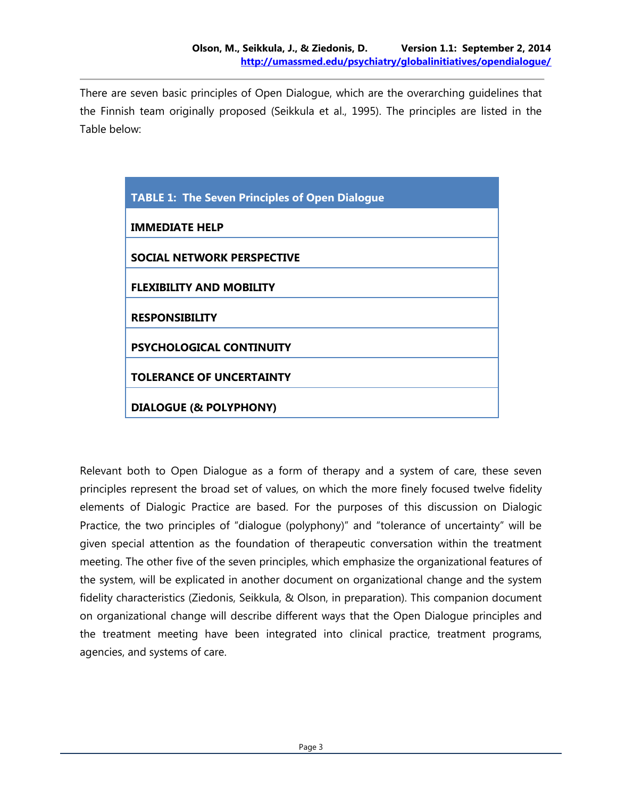There are seven basic principles of Open Dialogue, which are the overarching guidelines that the Finnish team originally proposed (Seikkula et al., 1995). The principles are listed in the Table below:

| <b>TABLE 1: The Seven Principles of Open Dialogue</b> |
|-------------------------------------------------------|
| <b>IMMEDIATE HELP</b>                                 |
| SOCIAL NETWORK PERSPECTIVE                            |
| <b>FLEXIBILITY AND MOBILITY</b>                       |
| <b>RESPONSIBILITY</b>                                 |
| <b>PSYCHOLOGICAL CONTINUITY</b>                       |
| <b>TOLERANCE OF UNCERTAINTY</b>                       |
| <b>DIALOGUE (&amp; POLYPHONY)</b>                     |

Relevant both to Open Dialogue as a form of therapy and a system of care, these seven principles represent the broad set of values, on which the more finely focused twelve fidelity elements of Dialogic Practice are based. For the purposes of this discussion on Dialogic Practice, the two principles of "dialogue (polyphony)" and "tolerance of uncertainty" will be given special attention as the foundation of therapeutic conversation within the treatment meeting. The other five of the seven principles, which emphasize the organizational features of the system, will be explicated in another document on organizational change and the system fidelity characteristics (Ziedonis, Seikkula, & Olson, in preparation). This companion document on organizational change will describe different ways that the Open Dialogue principles and the treatment meeting have been integrated into clinical practice, treatment programs, agencies, and systems of care.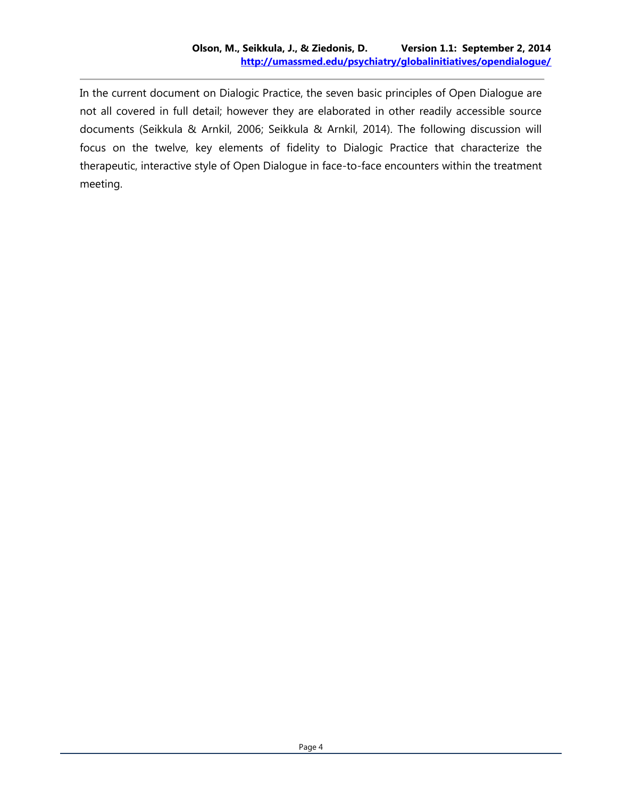In the current document on Dialogic Practice, the seven basic principles of Open Dialogue are not all covered in full detail; however they are elaborated in other readily accessible source documents (Seikkula & Arnkil, 2006; Seikkula & Arnkil, 2014). The following discussion will focus on the twelve, key elements of fidelity to Dialogic Practice that characterize the therapeutic, interactive style of Open Dialogue in face-to-face encounters within the treatment meeting.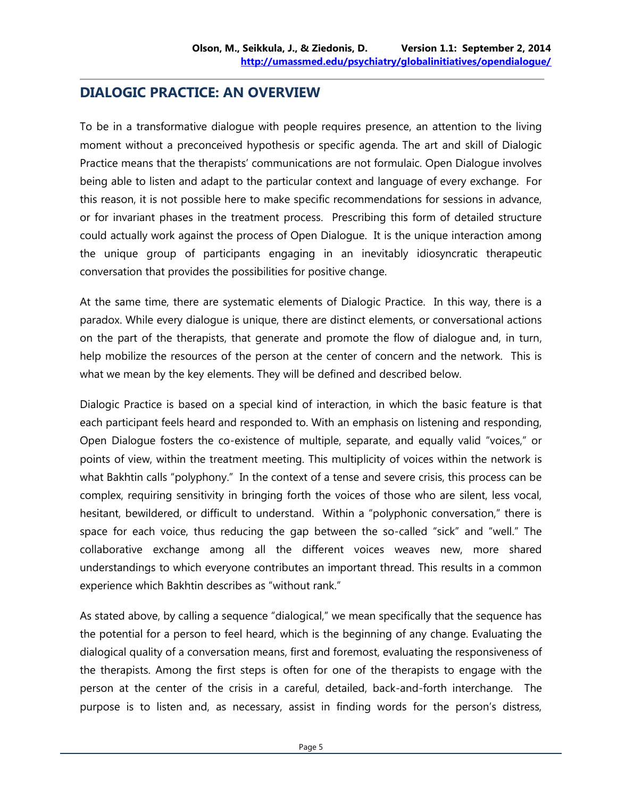#### **DIALOGIC PRACTICE: AN OVERVIEW**

To be in a transformative dialogue with people requires presence, an attention to the living moment without a preconceived hypothesis or specific agenda. The art and skill of Dialogic Practice means that the therapists' communications are not formulaic. Open Dialogue involves being able to listen and adapt to the particular context and language of every exchange. For this reason, it is not possible here to make specific recommendations for sessions in advance, or for invariant phases in the treatment process. Prescribing this form of detailed structure could actually work against the process of Open Dialogue. It is the unique interaction among the unique group of participants engaging in an inevitably idiosyncratic therapeutic conversation that provides the possibilities for positive change.

At the same time, there are systematic elements of Dialogic Practice. In this way, there is a paradox. While every dialogue is unique, there are distinct elements, or conversational actions on the part of the therapists, that generate and promote the flow of dialogue and, in turn, help mobilize the resources of the person at the center of concern and the network. This is what we mean by the key elements. They will be defined and described below.

Dialogic Practice is based on a special kind of interaction, in which the basic feature is that each participant feels heard and responded to. With an emphasis on listening and responding, Open Dialogue fosters the co-existence of multiple, separate, and equally valid "voices," or points of view, within the treatment meeting. This multiplicity of voices within the network is what Bakhtin calls "polyphony." In the context of a tense and severe crisis, this process can be complex, requiring sensitivity in bringing forth the voices of those who are silent, less vocal, hesitant, bewildered, or difficult to understand. Within a "polyphonic conversation," there is space for each voice, thus reducing the gap between the so-called "sick" and "well." The collaborative exchange among all the different voices weaves new, more shared understandings to which everyone contributes an important thread. This results in a common experience which Bakhtin describes as "without rank."

As stated above, by calling a sequence "dialogical," we mean specifically that the sequence has the potential for a person to feel heard, which is the beginning of any change. Evaluating the dialogical quality of a conversation means, first and foremost, evaluating the responsiveness of the therapists. Among the first steps is often for one of the therapists to engage with the person at the center of the crisis in a careful, detailed, back-and-forth interchange. The purpose is to listen and, as necessary, assist in finding words for the person's distress,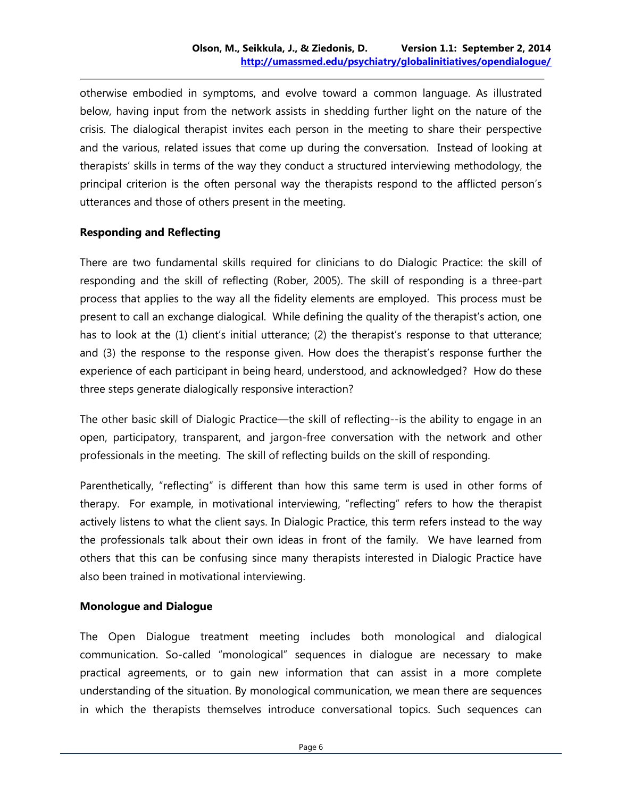otherwise embodied in symptoms, and evolve toward a common language. As illustrated below, having input from the network assists in shedding further light on the nature of the crisis. The dialogical therapist invites each person in the meeting to share their perspective and the various, related issues that come up during the conversation. Instead of looking at therapists' skills in terms of the way they conduct a structured interviewing methodology, the principal criterion is the often personal way the therapists respond to the afflicted person's utterances and those of others present in the meeting.

#### **Responding and Reflecting**

There are two fundamental skills required for clinicians to do Dialogic Practice: the skill of responding and the skill of reflecting (Rober, 2005). The skill of responding is a three-part process that applies to the way all the fidelity elements are employed. This process must be present to call an exchange dialogical. While defining the quality of the therapist's action, one has to look at the (1) client's initial utterance; (2) the therapist's response to that utterance; and (3) the response to the response given. How does the therapist's response further the experience of each participant in being heard, understood, and acknowledged? How do these three steps generate dialogically responsive interaction?

The other basic skill of Dialogic Practice—the skill of reflecting--is the ability to engage in an open, participatory, transparent, and jargon-free conversation with the network and other professionals in the meeting. The skill of reflecting builds on the skill of responding.

Parenthetically, "reflecting" is different than how this same term is used in other forms of therapy. For example, in motivational interviewing, "reflecting" refers to how the therapist actively listens to what the client says. In Dialogic Practice, this term refers instead to the way the professionals talk about their own ideas in front of the family. We have learned from others that this can be confusing since many therapists interested in Dialogic Practice have also been trained in motivational interviewing.

#### **Monologue and Dialogue**

The Open Dialogue treatment meeting includes both monological and dialogical communication. So-called "monological" sequences in dialogue are necessary to make practical agreements, or to gain new information that can assist in a more complete understanding of the situation. By monological communication, we mean there are sequences in which the therapists themselves introduce conversational topics. Such sequences can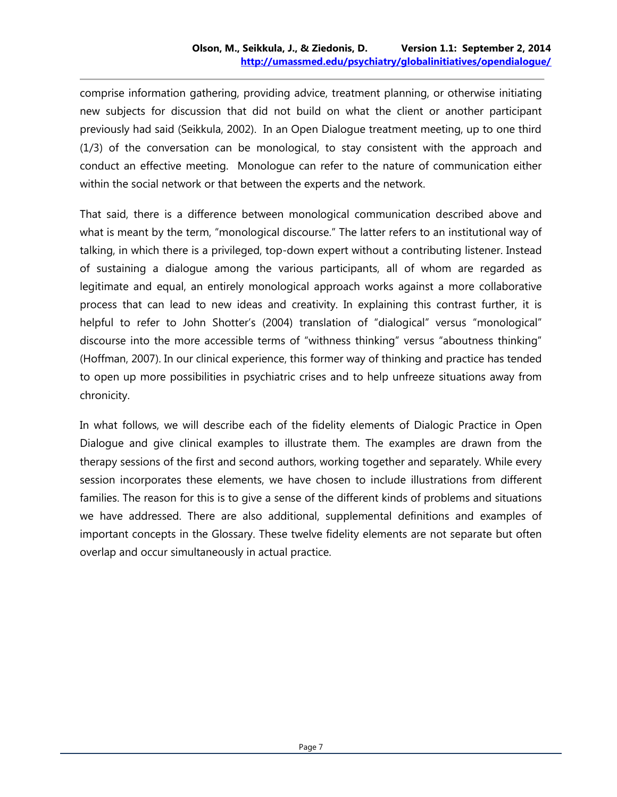comprise information gathering, providing advice, treatment planning, or otherwise initiating new subjects for discussion that did not build on what the client or another participant previously had said (Seikkula, 2002). In an Open Dialogue treatment meeting, up to one third (1/3) of the conversation can be monological, to stay consistent with the approach and conduct an effective meeting. Monologue can refer to the nature of communication either within the social network or that between the experts and the network.

That said, there is a difference between monological communication described above and what is meant by the term, "monological discourse." The latter refers to an institutional way of talking, in which there is a privileged, top-down expert without a contributing listener. Instead of sustaining a dialogue among the various participants, all of whom are regarded as legitimate and equal, an entirely monological approach works against a more collaborative process that can lead to new ideas and creativity. In explaining this contrast further, it is helpful to refer to John Shotter's (2004) translation of "dialogical" versus "monological" discourse into the more accessible terms of "withness thinking" versus "aboutness thinking" (Hoffman, 2007). In our clinical experience, this former way of thinking and practice has tended to open up more possibilities in psychiatric crises and to help unfreeze situations away from chronicity.

In what follows, we will describe each of the fidelity elements of Dialogic Practice in Open Dialogue and give clinical examples to illustrate them. The examples are drawn from the therapy sessions of the first and second authors, working together and separately. While every session incorporates these elements, we have chosen to include illustrations from different families. The reason for this is to give a sense of the different kinds of problems and situations we have addressed. There are also additional, supplemental definitions and examples of important concepts in the Glossary. These twelve fidelity elements are not separate but often overlap and occur simultaneously in actual practice.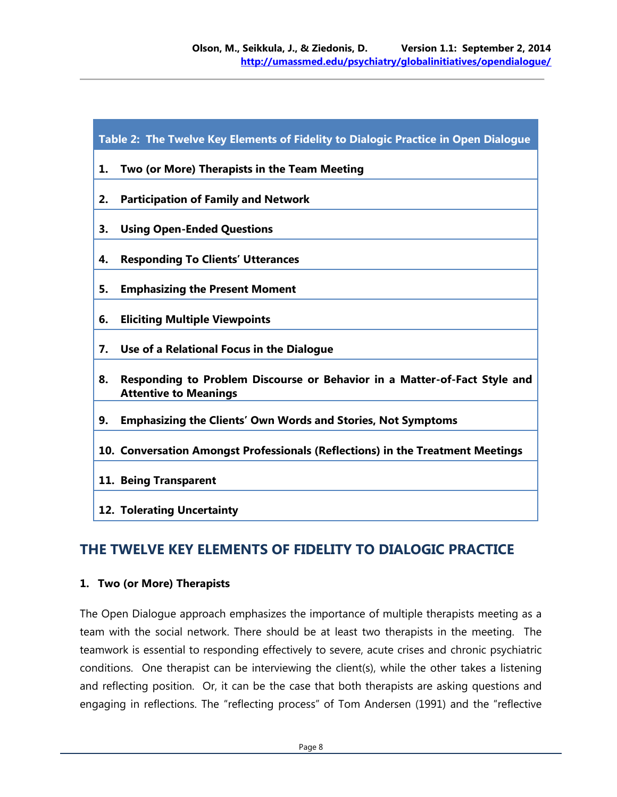| Table 2: The Twelve Key Elements of Fidelity to Dialogic Practice in Open Dialogue                              |
|-----------------------------------------------------------------------------------------------------------------|
| Two (or More) Therapists in the Team Meeting<br>1.                                                              |
| <b>Participation of Family and Network</b><br>2.                                                                |
| <b>Using Open-Ended Questions</b><br>3.                                                                         |
| <b>Responding To Clients' Utterances</b><br>4.                                                                  |
| 5.<br><b>Emphasizing the Present Moment</b>                                                                     |
| 6.<br><b>Eliciting Multiple Viewpoints</b>                                                                      |
| Use of a Relational Focus in the Dialogue<br>7.                                                                 |
| Responding to Problem Discourse or Behavior in a Matter-of-Fact Style and<br>8.<br><b>Attentive to Meanings</b> |
| <b>Emphasizing the Clients' Own Words and Stories, Not Symptoms</b><br>9.                                       |
| 10. Conversation Amongst Professionals (Reflections) in the Treatment Meetings                                  |
| 11. Being Transparent                                                                                           |
| 12. Tolerating Uncertainty                                                                                      |

# **THE TWELVE KEY ELEMENTS OF FIDELITY TO DIALOGIC PRACTICE**

#### **1. Two (or More) Therapists**

The Open Dialogue approach emphasizes the importance of multiple therapists meeting as a team with the social network. There should be at least two therapists in the meeting. The teamwork is essential to responding effectively to severe, acute crises and chronic psychiatric conditions. One therapist can be interviewing the client(s), while the other takes a listening and reflecting position. Or, it can be the case that both therapists are asking questions and engaging in reflections. The "reflecting process" of Tom Andersen (1991) and the "reflective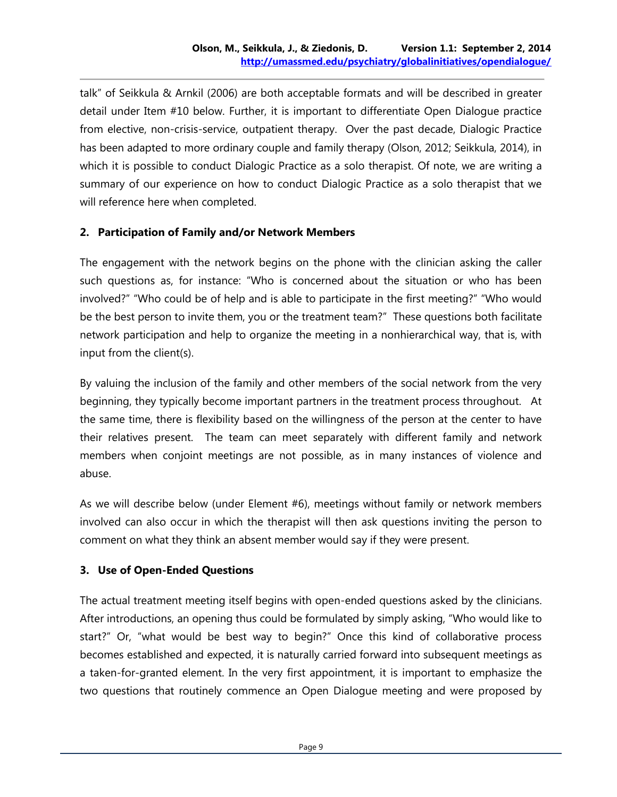talk" of Seikkula & Arnkil (2006) are both acceptable formats and will be described in greater detail under Item #10 below. Further, it is important to differentiate Open Dialogue practice from elective, non-crisis-service, outpatient therapy. Over the past decade, Dialogic Practice has been adapted to more ordinary couple and family therapy (Olson, 2012; Seikkula, 2014), in which it is possible to conduct Dialogic Practice as a solo therapist. Of note, we are writing a summary of our experience on how to conduct Dialogic Practice as a solo therapist that we will reference here when completed.

#### **2. Participation of Family and/or Network Members**

The engagement with the network begins on the phone with the clinician asking the caller such questions as, for instance: "Who is concerned about the situation or who has been involved?" "Who could be of help and is able to participate in the first meeting?" "Who would be the best person to invite them, you or the treatment team?" These questions both facilitate network participation and help to organize the meeting in a nonhierarchical way, that is, with input from the client(s).

By valuing the inclusion of the family and other members of the social network from the very beginning, they typically become important partners in the treatment process throughout. At the same time, there is flexibility based on the willingness of the person at the center to have their relatives present. The team can meet separately with different family and network members when conjoint meetings are not possible, as in many instances of violence and abuse.

As we will describe below (under Element #6), meetings without family or network members involved can also occur in which the therapist will then ask questions inviting the person to comment on what they think an absent member would say if they were present.

#### **3. Use of Open-Ended Questions**

The actual treatment meeting itself begins with open-ended questions asked by the clinicians. After introductions, an opening thus could be formulated by simply asking, "Who would like to start?" Or, "what would be best way to begin?" Once this kind of collaborative process becomes established and expected, it is naturally carried forward into subsequent meetings as a taken-for-granted element. In the very first appointment, it is important to emphasize the two questions that routinely commence an Open Dialogue meeting and were proposed by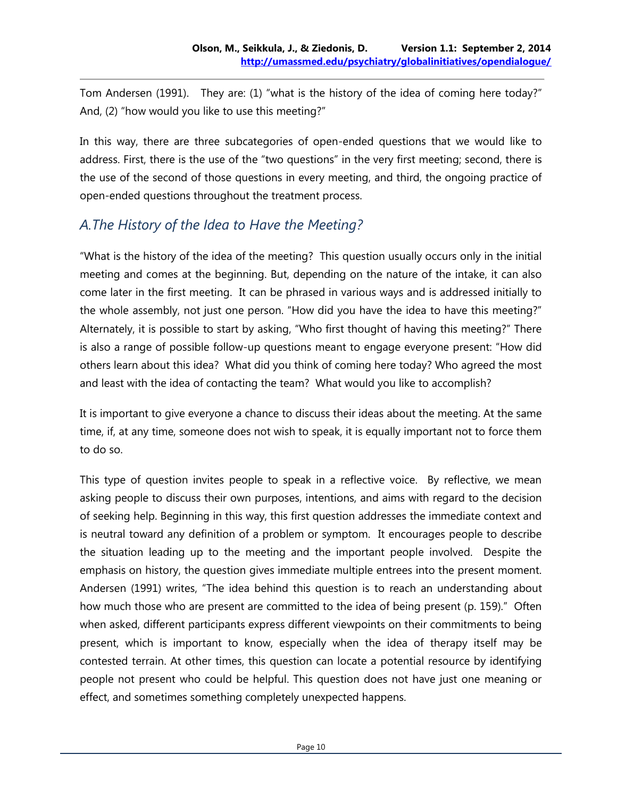Tom Andersen (1991). They are: (1) "what is the history of the idea of coming here today?" And, (2) "how would you like to use this meeting?"

In this way, there are three subcategories of open-ended questions that we would like to address. First, there is the use of the "two questions" in the very first meeting; second, there is the use of the second of those questions in every meeting, and third, the ongoing practice of open-ended questions throughout the treatment process.

# *A.The History of the Idea to Have the Meeting?*

"What is the history of the idea of the meeting? This question usually occurs only in the initial meeting and comes at the beginning. But, depending on the nature of the intake, it can also come later in the first meeting. It can be phrased in various ways and is addressed initially to the whole assembly, not just one person. "How did you have the idea to have this meeting?" Alternately, it is possible to start by asking, "Who first thought of having this meeting?" There is also a range of possible follow-up questions meant to engage everyone present: "How did others learn about this idea? What did you think of coming here today? Who agreed the most and least with the idea of contacting the team? What would you like to accomplish?

It is important to give everyone a chance to discuss their ideas about the meeting. At the same time, if, at any time, someone does not wish to speak, it is equally important not to force them to do so.

This type of question invites people to speak in a reflective voice. By reflective, we mean asking people to discuss their own purposes, intentions, and aims with regard to the decision of seeking help. Beginning in this way, this first question addresses the immediate context and is neutral toward any definition of a problem or symptom. It encourages people to describe the situation leading up to the meeting and the important people involved. Despite the emphasis on history, the question gives immediate multiple entrees into the present moment. Andersen (1991) writes, "The idea behind this question is to reach an understanding about how much those who are present are committed to the idea of being present (p. 159)." Often when asked, different participants express different viewpoints on their commitments to being present, which is important to know, especially when the idea of therapy itself may be contested terrain. At other times, this question can locate a potential resource by identifying people not present who could be helpful. This question does not have just one meaning or effect, and sometimes something completely unexpected happens.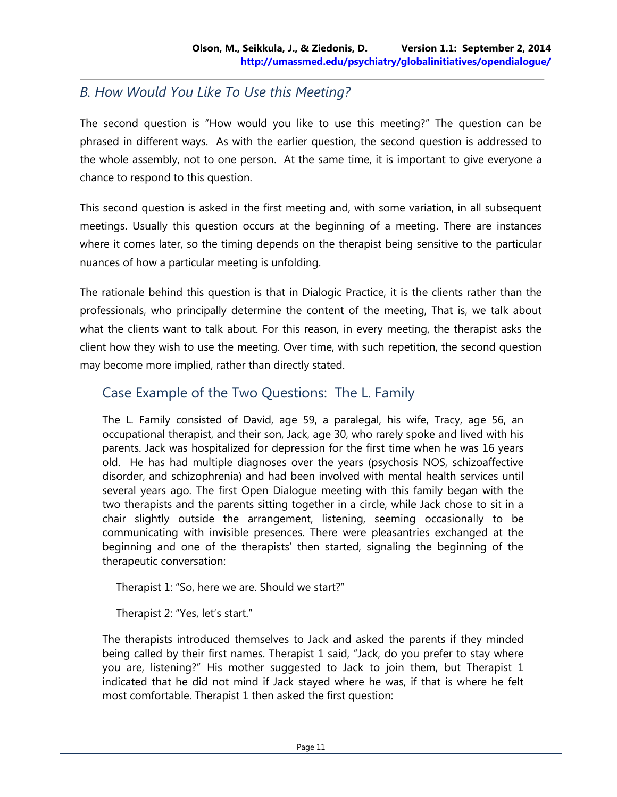# *B. How Would You Like To Use this Meeting?*

The second question is "How would you like to use this meeting?" The question can be phrased in different ways. As with the earlier question, the second question is addressed to the whole assembly, not to one person. At the same time, it is important to give everyone a chance to respond to this question.

This second question is asked in the first meeting and, with some variation, in all subsequent meetings. Usually this question occurs at the beginning of a meeting. There are instances where it comes later, so the timing depends on the therapist being sensitive to the particular nuances of how a particular meeting is unfolding.

The rationale behind this question is that in Dialogic Practice, it is the clients rather than the professionals, who principally determine the content of the meeting, That is, we talk about what the clients want to talk about. For this reason, in every meeting, the therapist asks the client how they wish to use the meeting. Over time, with such repetition, the second question may become more implied, rather than directly stated.

# Case Example of the Two Questions: The L. Family

The L. Family consisted of David, age 59, a paralegal, his wife, Tracy, age 56, an occupational therapist, and their son, Jack, age 30, who rarely spoke and lived with his parents. Jack was hospitalized for depression for the first time when he was 16 years old. He has had multiple diagnoses over the years (psychosis NOS, schizoaffective disorder, and schizophrenia) and had been involved with mental health services until several years ago. The first Open Dialogue meeting with this family began with the two therapists and the parents sitting together in a circle, while Jack chose to sit in a chair slightly outside the arrangement, listening, seeming occasionally to be communicating with invisible presences. There were pleasantries exchanged at the beginning and one of the therapists' then started, signaling the beginning of the therapeutic conversation:

Therapist 1: "So, here we are. Should we start?"

Therapist 2: "Yes, let's start."

The therapists introduced themselves to Jack and asked the parents if they minded being called by their first names. Therapist 1 said, "Jack, do you prefer to stay where you are, listening?" His mother suggested to Jack to join them, but Therapist 1 indicated that he did not mind if Jack stayed where he was, if that is where he felt most comfortable. Therapist 1 then asked the first question: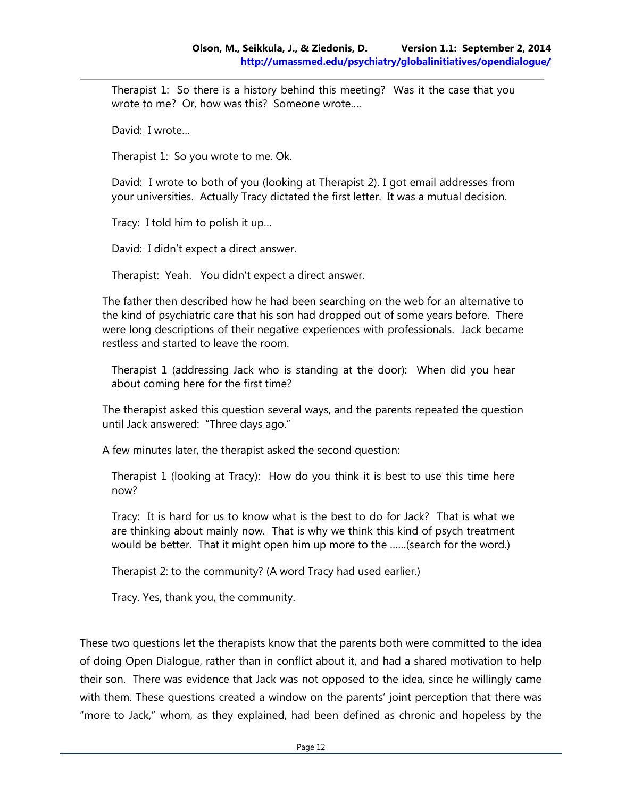Therapist 1: So there is a history behind this meeting? Was it the case that you wrote to me? Or, how was this? Someone wrote….

David: I wrote…

Therapist 1: So you wrote to me. Ok.

David: I wrote to both of you (looking at Therapist 2). I got email addresses from your universities. Actually Tracy dictated the first letter. It was a mutual decision.

Tracy: I told him to polish it up…

David: I didn't expect a direct answer.

Therapist: Yeah. You didn't expect a direct answer.

The father then described how he had been searching on the web for an alternative to the kind of psychiatric care that his son had dropped out of some years before. There were long descriptions of their negative experiences with professionals. Jack became restless and started to leave the room.

Therapist 1 (addressing Jack who is standing at the door): When did you hear about coming here for the first time?

The therapist asked this question several ways, and the parents repeated the question until Jack answered: "Three days ago."

A few minutes later, the therapist asked the second question:

Therapist 1 (looking at Tracy): How do you think it is best to use this time here now?

Tracy: It is hard for us to know what is the best to do for Jack? That is what we are thinking about mainly now. That is why we think this kind of psych treatment would be better. That it might open him up more to the ……(search for the word.)

Therapist 2: to the community? (A word Tracy had used earlier.)

Tracy. Yes, thank you, the community.

These two questions let the therapists know that the parents both were committed to the idea of doing Open Dialogue, rather than in conflict about it, and had a shared motivation to help their son. There was evidence that Jack was not opposed to the idea, since he willingly came with them. These questions created a window on the parents' joint perception that there was "more to Jack," whom, as they explained, had been defined as chronic and hopeless by the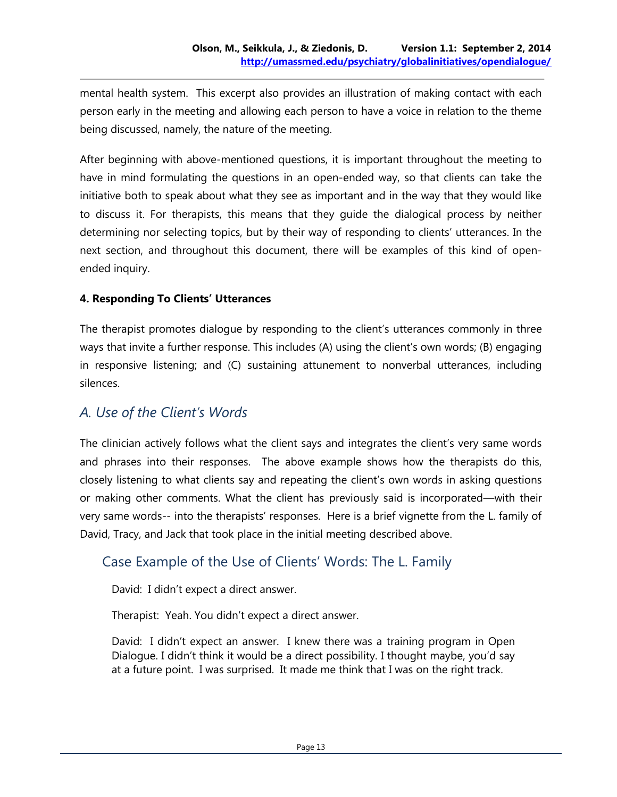mental health system. This excerpt also provides an illustration of making contact with each person early in the meeting and allowing each person to have a voice in relation to the theme being discussed, namely, the nature of the meeting.

After beginning with above-mentioned questions, it is important throughout the meeting to have in mind formulating the questions in an open-ended way, so that clients can take the initiative both to speak about what they see as important and in the way that they would like to discuss it. For therapists, this means that they guide the dialogical process by neither determining nor selecting topics, but by their way of responding to clients' utterances. In the next section, and throughout this document, there will be examples of this kind of openended inquiry.

#### **4. Responding To Clients' Utterances**

The therapist promotes dialogue by responding to the client's utterances commonly in three ways that invite a further response. This includes (A) using the client's own words; (B) engaging in responsive listening; and (C) sustaining attunement to nonverbal utterances, including silences.

#### *A. Use of the Client's Words*

The clinician actively follows what the client says and integrates the client's very same words and phrases into their responses. The above example shows how the therapists do this, closely listening to what clients say and repeating the client's own words in asking questions or making other comments. What the client has previously said is incorporated—with their very same words-- into the therapists' responses. Here is a brief vignette from the L. family of David, Tracy, and Jack that took place in the initial meeting described above.

#### Case Example of the Use of Clients' Words: The L. Family

David: I didn't expect a direct answer.

Therapist: Yeah. You didn't expect a direct answer.

David: I didn't expect an answer. I knew there was a training program in Open Dialogue. I didn't think it would be a direct possibility. I thought maybe, you'd say at a future point. I was surprised. It made me think that I was on the right track.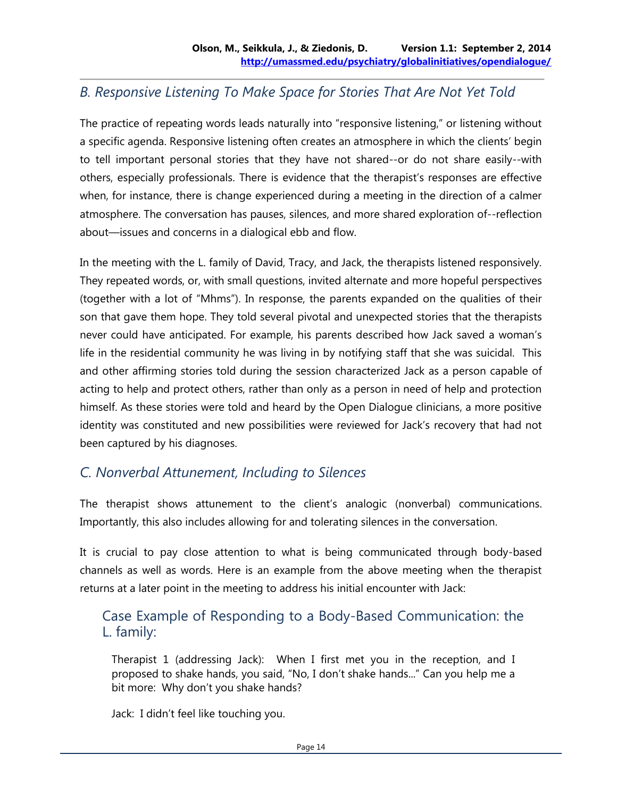## *B. Responsive Listening To Make Space for Stories That Are Not Yet Told*

The practice of repeating words leads naturally into "responsive listening," or listening without a specific agenda. Responsive listening often creates an atmosphere in which the clients' begin to tell important personal stories that they have not shared--or do not share easily--with others, especially professionals. There is evidence that the therapist's responses are effective when, for instance, there is change experienced during a meeting in the direction of a calmer atmosphere. The conversation has pauses, silences, and more shared exploration of--reflection about—issues and concerns in a dialogical ebb and flow.

In the meeting with the L. family of David, Tracy, and Jack, the therapists listened responsively. They repeated words, or, with small questions, invited alternate and more hopeful perspectives (together with a lot of "Mhms"). In response, the parents expanded on the qualities of their son that gave them hope. They told several pivotal and unexpected stories that the therapists never could have anticipated. For example, his parents described how Jack saved a woman's life in the residential community he was living in by notifying staff that she was suicidal. This and other affirming stories told during the session characterized Jack as a person capable of acting to help and protect others, rather than only as a person in need of help and protection himself. As these stories were told and heard by the Open Dialogue clinicians, a more positive identity was constituted and new possibilities were reviewed for Jack's recovery that had not been captured by his diagnoses.

## *C. Nonverbal Attunement, Including to Silences*

The therapist shows attunement to the client's analogic (nonverbal) communications. Importantly, this also includes allowing for and tolerating silences in the conversation.

It is crucial to pay close attention to what is being communicated through body-based channels as well as words. Here is an example from the above meeting when the therapist returns at a later point in the meeting to address his initial encounter with Jack:

# Case Example of Responding to a Body-Based Communication: the L. family:

Therapist 1 (addressing Jack): When I first met you in the reception, and I proposed to shake hands, you said, "No, I don't shake hands..." Can you help me a bit more: Why don't you shake hands?

Jack: I didn't feel like touching you.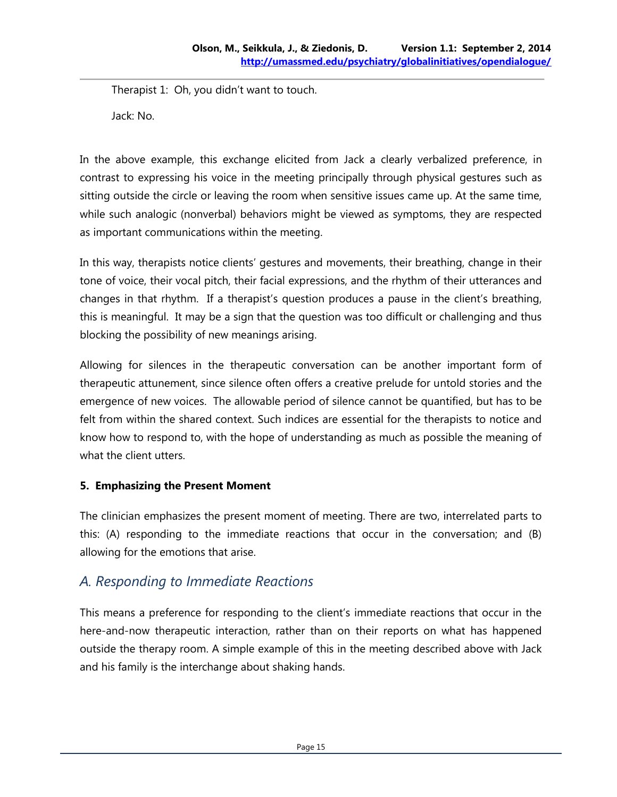Therapist 1: Oh, you didn't want to touch.

Jack: No.

In the above example, this exchange elicited from Jack a clearly verbalized preference, in contrast to expressing his voice in the meeting principally through physical gestures such as sitting outside the circle or leaving the room when sensitive issues came up. At the same time, while such analogic (nonverbal) behaviors might be viewed as symptoms, they are respected as important communications within the meeting.

In this way, therapists notice clients' gestures and movements, their breathing, change in their tone of voice, their vocal pitch, their facial expressions, and the rhythm of their utterances and changes in that rhythm. If a therapist's question produces a pause in the client's breathing, this is meaningful. It may be a sign that the question was too difficult or challenging and thus blocking the possibility of new meanings arising.

Allowing for silences in the therapeutic conversation can be another important form of therapeutic attunement, since silence often offers a creative prelude for untold stories and the emergence of new voices. The allowable period of silence cannot be quantified, but has to be felt from within the shared context. Such indices are essential for the therapists to notice and know how to respond to, with the hope of understanding as much as possible the meaning of what the client utters.

#### **5. Emphasizing the Present Moment**

The clinician emphasizes the present moment of meeting. There are two, interrelated parts to this: (A) responding to the immediate reactions that occur in the conversation; and (B) allowing for the emotions that arise.

# *A. Responding to Immediate Reactions*

This means a preference for responding to the client's immediate reactions that occur in the here-and-now therapeutic interaction, rather than on their reports on what has happened outside the therapy room. A simple example of this in the meeting described above with Jack and his family is the interchange about shaking hands.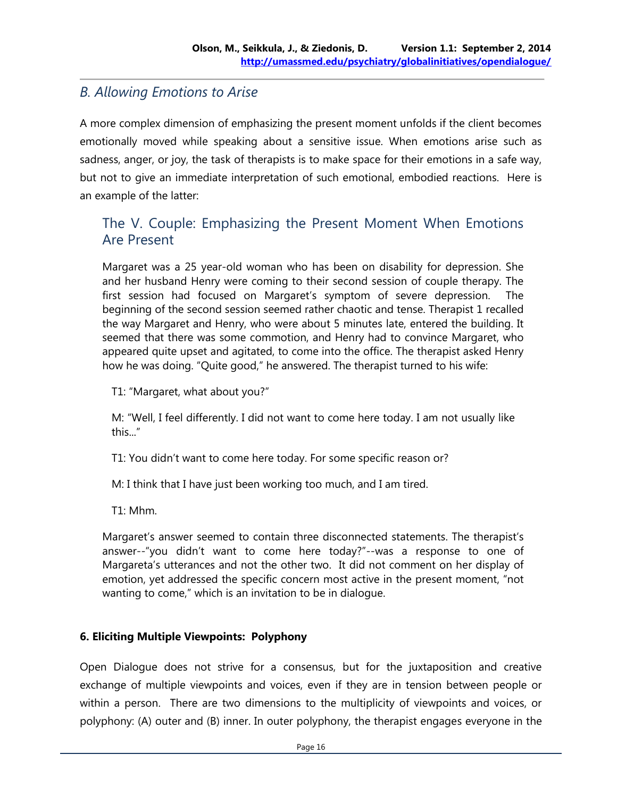## *B. Allowing Emotions to Arise*

A more complex dimension of emphasizing the present moment unfolds if the client becomes emotionally moved while speaking about a sensitive issue. When emotions arise such as sadness, anger, or joy, the task of therapists is to make space for their emotions in a safe way, but not to give an immediate interpretation of such emotional, embodied reactions. Here is an example of the latter:

## The V. Couple: Emphasizing the Present Moment When Emotions Are Present

Margaret was a 25 year-old woman who has been on disability for depression. She and her husband Henry were coming to their second session of couple therapy. The first session had focused on Margaret's symptom of severe depression. The beginning of the second session seemed rather chaotic and tense. Therapist 1 recalled the way Margaret and Henry, who were about 5 minutes late, entered the building. It seemed that there was some commotion, and Henry had to convince Margaret, who appeared quite upset and agitated, to come into the office. The therapist asked Henry how he was doing. "Quite good," he answered. The therapist turned to his wife:

T1: "Margaret, what about you?"

M: "Well, I feel differently. I did not want to come here today. I am not usually like this..."

T1: You didn't want to come here today. For some specific reason or?

M: I think that I have just been working too much, and I am tired.

T1: Mhm.

Margaret's answer seemed to contain three disconnected statements. The therapist's answer--"you didn't want to come here today?"--was a response to one of Margareta's utterances and not the other two. It did not comment on her display of emotion, yet addressed the specific concern most active in the present moment, "not wanting to come," which is an invitation to be in dialogue.

#### **6. Eliciting Multiple Viewpoints: Polyphony**

Open Dialogue does not strive for a consensus, but for the juxtaposition and creative exchange of multiple viewpoints and voices, even if they are in tension between people or within a person. There are two dimensions to the multiplicity of viewpoints and voices, or polyphony: (A) outer and (B) inner. In outer polyphony, the therapist engages everyone in the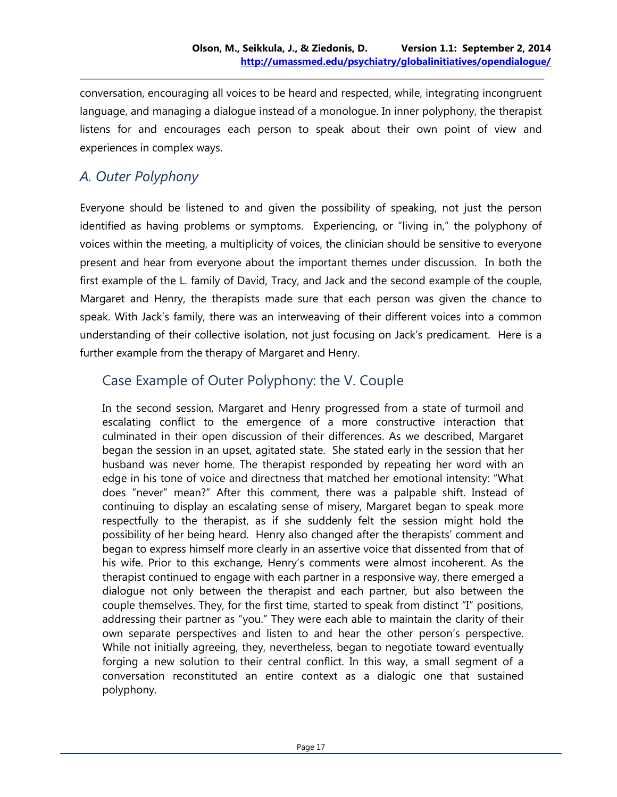conversation, encouraging all voices to be heard and respected, while, integrating incongruent language, and managing a dialogue instead of a monologue. In inner polyphony, the therapist listens for and encourages each person to speak about their own point of view and experiences in complex ways.

# *A. Outer Polyphony*

Everyone should be listened to and given the possibility of speaking, not just the person identified as having problems or symptoms. Experiencing, or "living in," the polyphony of voices within the meeting, a multiplicity of voices, the clinician should be sensitive to everyone present and hear from everyone about the important themes under discussion. In both the first example of the L. family of David, Tracy, and Jack and the second example of the couple, Margaret and Henry, the therapists made sure that each person was given the chance to speak. With Jack's family, there was an interweaving of their different voices into a common understanding of their collective isolation, not just focusing on Jack's predicament. Here is a further example from the therapy of Margaret and Henry.

# Case Example of Outer Polyphony: the V. Couple

In the second session, Margaret and Henry progressed from a state of turmoil and escalating conflict to the emergence of a more constructive interaction that culminated in their open discussion of their differences. As we described, Margaret began the session in an upset, agitated state. She stated early in the session that her husband was never home. The therapist responded by repeating her word with an edge in his tone of voice and directness that matched her emotional intensity: "What does "never" mean?" After this comment, there was a palpable shift. Instead of continuing to display an escalating sense of misery, Margaret began to speak more respectfully to the therapist, as if she suddenly felt the session might hold the possibility of her being heard. Henry also changed after the therapists' comment and began to express himself more clearly in an assertive voice that dissented from that of his wife. Prior to this exchange, Henry's comments were almost incoherent. As the therapist continued to engage with each partner in a responsive way, there emerged a dialogue not only between the therapist and each partner, but also between the couple themselves. They, for the first time, started to speak from distinct "I" positions, addressing their partner as "you." They were each able to maintain the clarity of their own separate perspectives and listen to and hear the other person's perspective. While not initially agreeing, they, nevertheless, began to negotiate toward eventually forging a new solution to their central conflict. In this way, a small segment of a conversation reconstituted an entire context as a dialogic one that sustained polyphony.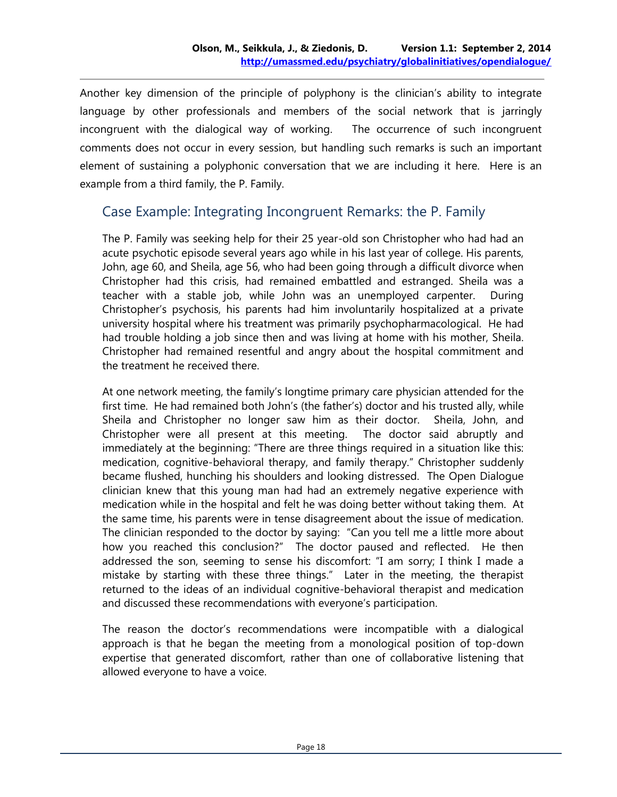Another key dimension of the principle of polyphony is the clinician's ability to integrate language by other professionals and members of the social network that is jarringly incongruent with the dialogical way of working. The occurrence of such incongruent comments does not occur in every session, but handling such remarks is such an important element of sustaining a polyphonic conversation that we are including it here. Here is an example from a third family, the P. Family.

# Case Example: Integrating Incongruent Remarks: the P. Family

The P. Family was seeking help for their 25 year-old son Christopher who had had an acute psychotic episode several years ago while in his last year of college. His parents, John, age 60, and Sheila, age 56, who had been going through a difficult divorce when Christopher had this crisis, had remained embattled and estranged. Sheila was a teacher with a stable job, while John was an unemployed carpenter. During Christopher's psychosis, his parents had him involuntarily hospitalized at a private university hospital where his treatment was primarily psychopharmacological. He had had trouble holding a job since then and was living at home with his mother, Sheila. Christopher had remained resentful and angry about the hospital commitment and the treatment he received there.

At one network meeting, the family's longtime primary care physician attended for the first time. He had remained both John's (the father's) doctor and his trusted ally, while Sheila and Christopher no longer saw him as their doctor. Sheila, John, and Christopher were all present at this meeting. The doctor said abruptly and immediately at the beginning: "There are three things required in a situation like this: medication, cognitive-behavioral therapy, and family therapy." Christopher suddenly became flushed, hunching his shoulders and looking distressed. The Open Dialogue clinician knew that this young man had had an extremely negative experience with medication while in the hospital and felt he was doing better without taking them. At the same time, his parents were in tense disagreement about the issue of medication. The clinician responded to the doctor by saying: "Can you tell me a little more about how you reached this conclusion?" The doctor paused and reflected. He then addressed the son, seeming to sense his discomfort: "I am sorry; I think I made a mistake by starting with these three things." Later in the meeting, the therapist returned to the ideas of an individual cognitive-behavioral therapist and medication and discussed these recommendations with everyone's participation.

The reason the doctor's recommendations were incompatible with a dialogical approach is that he began the meeting from a monological position of top-down expertise that generated discomfort, rather than one of collaborative listening that allowed everyone to have a voice.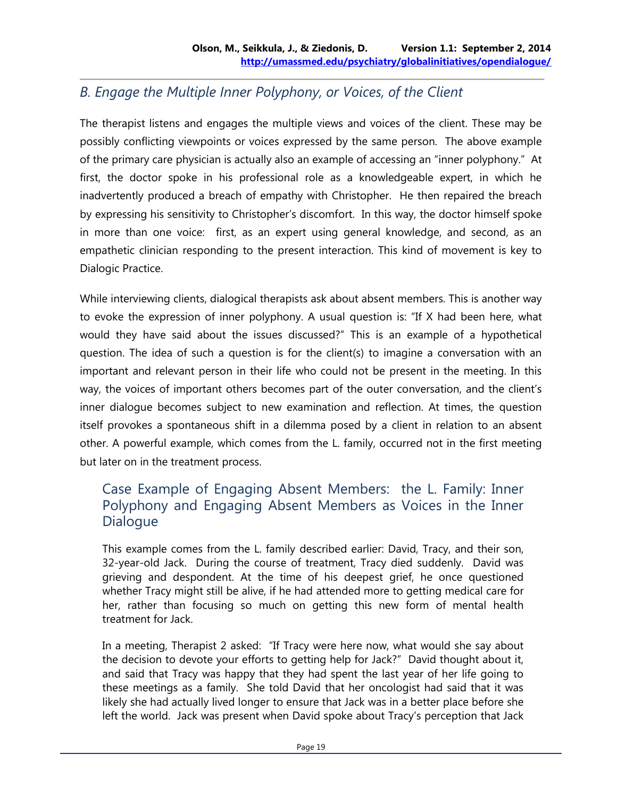# *B. Engage the Multiple Inner Polyphony, or Voices, of the Client*

The therapist listens and engages the multiple views and voices of the client. These may be possibly conflicting viewpoints or voices expressed by the same person. The above example of the primary care physician is actually also an example of accessing an "inner polyphony." At first, the doctor spoke in his professional role as a knowledgeable expert, in which he inadvertently produced a breach of empathy with Christopher. He then repaired the breach by expressing his sensitivity to Christopher's discomfort. In this way, the doctor himself spoke in more than one voice: first, as an expert using general knowledge, and second, as an empathetic clinician responding to the present interaction. This kind of movement is key to Dialogic Practice.

While interviewing clients, dialogical therapists ask about absent members. This is another way to evoke the expression of inner polyphony. A usual question is: "If X had been here, what would they have said about the issues discussed?" This is an example of a hypothetical question. The idea of such a question is for the client(s) to imagine a conversation with an important and relevant person in their life who could not be present in the meeting. In this way, the voices of important others becomes part of the outer conversation, and the client's inner dialogue becomes subject to new examination and reflection. At times, the question itself provokes a spontaneous shift in a dilemma posed by a client in relation to an absent other. A powerful example, which comes from the L. family, occurred not in the first meeting but later on in the treatment process.

#### Case Example of Engaging Absent Members: the L. Family: Inner Polyphony and Engaging Absent Members as Voices in the Inner **Dialogue**

This example comes from the L. family described earlier: David, Tracy, and their son, 32-year-old Jack. During the course of treatment, Tracy died suddenly. David was grieving and despondent. At the time of his deepest grief, he once questioned whether Tracy might still be alive, if he had attended more to getting medical care for her, rather than focusing so much on getting this new form of mental health treatment for Jack.

In a meeting, Therapist 2 asked: "If Tracy were here now, what would she say about the decision to devote your efforts to getting help for Jack?" David thought about it, and said that Tracy was happy that they had spent the last year of her life going to these meetings as a family. She told David that her oncologist had said that it was likely she had actually lived longer to ensure that Jack was in a better place before she left the world. Jack was present when David spoke about Tracy's perception that Jack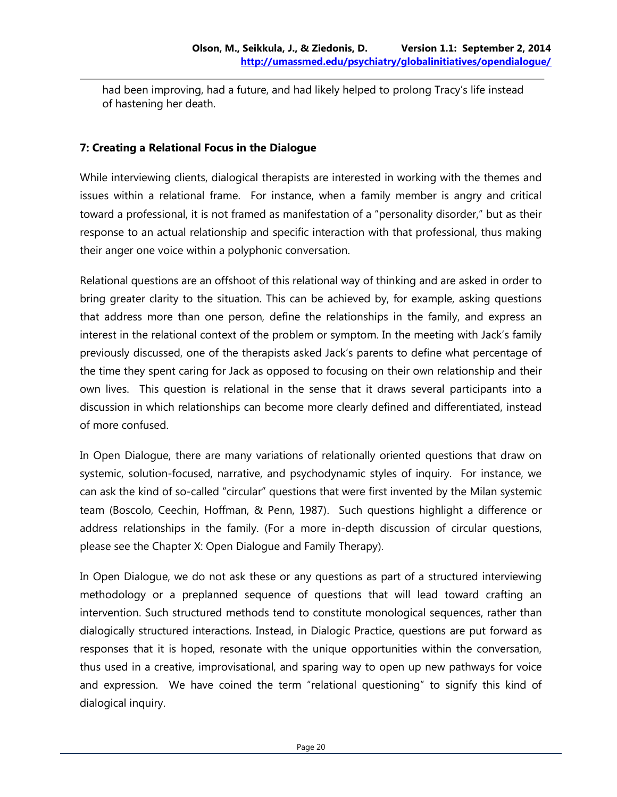had been improving, had a future, and had likely helped to prolong Tracy's life instead of hastening her death.

#### **7: Creating a Relational Focus in the Dialogue**

While interviewing clients, dialogical therapists are interested in working with the themes and issues within a relational frame. For instance, when a family member is angry and critical toward a professional, it is not framed as manifestation of a "personality disorder," but as their response to an actual relationship and specific interaction with that professional, thus making their anger one voice within a polyphonic conversation.

Relational questions are an offshoot of this relational way of thinking and are asked in order to bring greater clarity to the situation. This can be achieved by, for example, asking questions that address more than one person, define the relationships in the family, and express an interest in the relational context of the problem or symptom. In the meeting with Jack's family previously discussed, one of the therapists asked Jack's parents to define what percentage of the time they spent caring for Jack as opposed to focusing on their own relationship and their own lives. This question is relational in the sense that it draws several participants into a discussion in which relationships can become more clearly defined and differentiated, instead of more confused.

In Open Dialogue, there are many variations of relationally oriented questions that draw on systemic, solution-focused, narrative, and psychodynamic styles of inquiry. For instance, we can ask the kind of so-called "circular" questions that were first invented by the Milan systemic team (Boscolo, Ceechin, Hoffman, & Penn, 1987). Such questions highlight a difference or address relationships in the family. (For a more in-depth discussion of circular questions, please see the Chapter X: Open Dialogue and Family Therapy).

In Open Dialogue, we do not ask these or any questions as part of a structured interviewing methodology or a preplanned sequence of questions that will lead toward crafting an intervention. Such structured methods tend to constitute monological sequences, rather than dialogically structured interactions. Instead, in Dialogic Practice, questions are put forward as responses that it is hoped, resonate with the unique opportunities within the conversation, thus used in a creative, improvisational, and sparing way to open up new pathways for voice and expression. We have coined the term "relational questioning" to signify this kind of dialogical inquiry.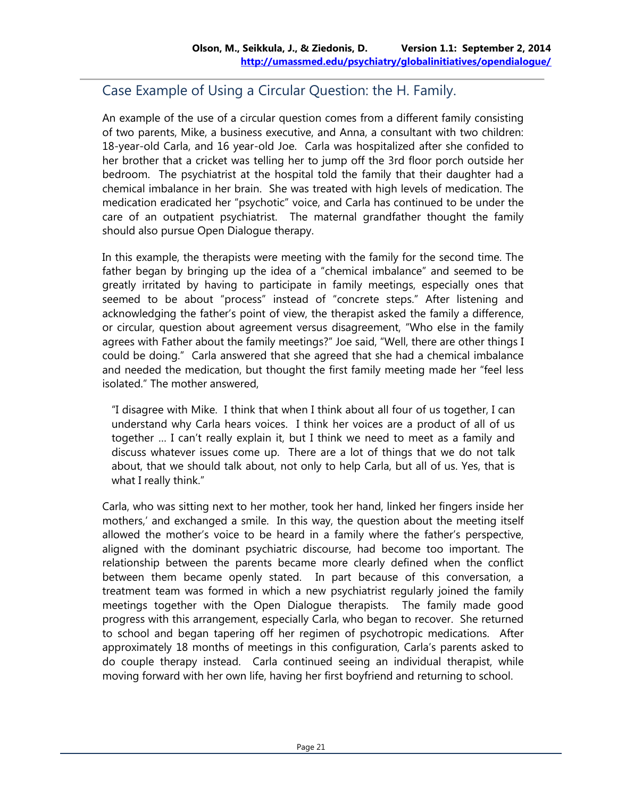## Case Example of Using a Circular Question: the H. Family.

An example of the use of a circular question comes from a different family consisting of two parents, Mike, a business executive, and Anna, a consultant with two children: 18-year-old Carla, and 16 year-old Joe. Carla was hospitalized after she confided to her brother that a cricket was telling her to jump off the 3rd floor porch outside her bedroom. The psychiatrist at the hospital told the family that their daughter had a chemical imbalance in her brain. She was treated with high levels of medication. The medication eradicated her "psychotic" voice, and Carla has continued to be under the care of an outpatient psychiatrist. The maternal grandfather thought the family should also pursue Open Dialogue therapy.

In this example, the therapists were meeting with the family for the second time. The father began by bringing up the idea of a "chemical imbalance" and seemed to be greatly irritated by having to participate in family meetings, especially ones that seemed to be about "process" instead of "concrete steps." After listening and acknowledging the father's point of view, the therapist asked the family a difference, or circular, question about agreement versus disagreement, "Who else in the family agrees with Father about the family meetings?" Joe said, "Well, there are other things I could be doing." Carla answered that she agreed that she had a chemical imbalance and needed the medication, but thought the first family meeting made her "feel less isolated." The mother answered,

"I disagree with Mike. I think that when I think about all four of us together, I can understand why Carla hears voices. I think her voices are a product of all of us together … I can't really explain it, but I think we need to meet as a family and discuss whatever issues come up. There are a lot of things that we do not talk about, that we should talk about, not only to help Carla, but all of us. Yes, that is what I really think."

Carla, who was sitting next to her mother, took her hand, linked her fingers inside her mothers,' and exchanged a smile. In this way, the question about the meeting itself allowed the mother's voice to be heard in a family where the father's perspective, aligned with the dominant psychiatric discourse, had become too important. The relationship between the parents became more clearly defined when the conflict between them became openly stated. In part because of this conversation, a treatment team was formed in which a new psychiatrist regularly joined the family meetings together with the Open Dialogue therapists. The family made good progress with this arrangement, especially Carla, who began to recover. She returned to school and began tapering off her regimen of psychotropic medications. After approximately 18 months of meetings in this configuration, Carla's parents asked to do couple therapy instead. Carla continued seeing an individual therapist, while moving forward with her own life, having her first boyfriend and returning to school.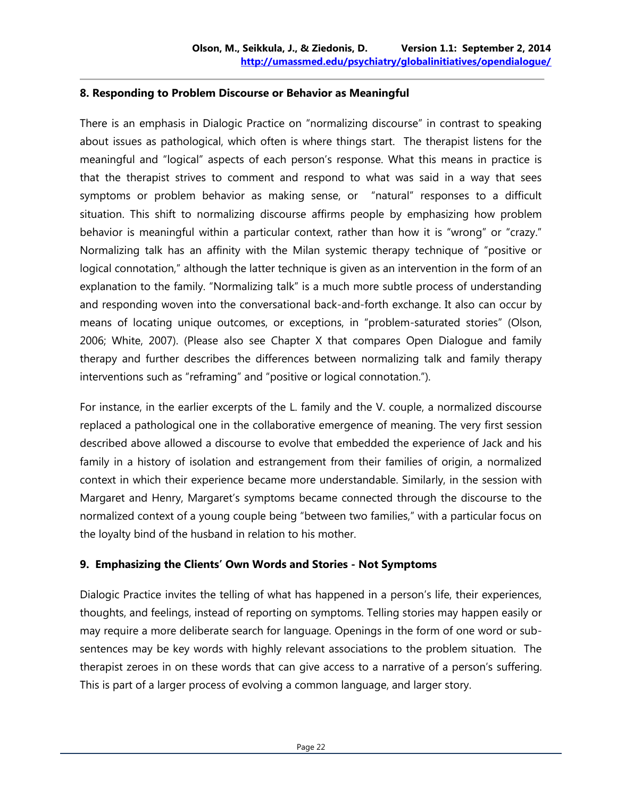#### **8. Responding to Problem Discourse or Behavior as Meaningful**

There is an emphasis in Dialogic Practice on "normalizing discourse" in contrast to speaking about issues as pathological, which often is where things start. The therapist listens for the meaningful and "logical" aspects of each person's response. What this means in practice is that the therapist strives to comment and respond to what was said in a way that sees symptoms or problem behavior as making sense, or "natural" responses to a difficult situation. This shift to normalizing discourse affirms people by emphasizing how problem behavior is meaningful within a particular context, rather than how it is "wrong" or "crazy." Normalizing talk has an affinity with the Milan systemic therapy technique of "positive or logical connotation," although the latter technique is given as an intervention in the form of an explanation to the family. "Normalizing talk" is a much more subtle process of understanding and responding woven into the conversational back-and-forth exchange. It also can occur by means of locating unique outcomes, or exceptions, in "problem-saturated stories" (Olson, 2006; White, 2007). (Please also see Chapter X that compares Open Dialogue and family therapy and further describes the differences between normalizing talk and family therapy interventions such as "reframing" and "positive or logical connotation.").

For instance, in the earlier excerpts of the L. family and the V. couple, a normalized discourse replaced a pathological one in the collaborative emergence of meaning. The very first session described above allowed a discourse to evolve that embedded the experience of Jack and his family in a history of isolation and estrangement from their families of origin, a normalized context in which their experience became more understandable. Similarly, in the session with Margaret and Henry, Margaret's symptoms became connected through the discourse to the normalized context of a young couple being "between two families," with a particular focus on the loyalty bind of the husband in relation to his mother.

#### **9. Emphasizing the Clients' Own Words and Stories - Not Symptoms**

Dialogic Practice invites the telling of what has happened in a person's life, their experiences, thoughts, and feelings, instead of reporting on symptoms. Telling stories may happen easily or may require a more deliberate search for language. Openings in the form of one word or subsentences may be key words with highly relevant associations to the problem situation. The therapist zeroes in on these words that can give access to a narrative of a person's suffering. This is part of a larger process of evolving a common language, and larger story.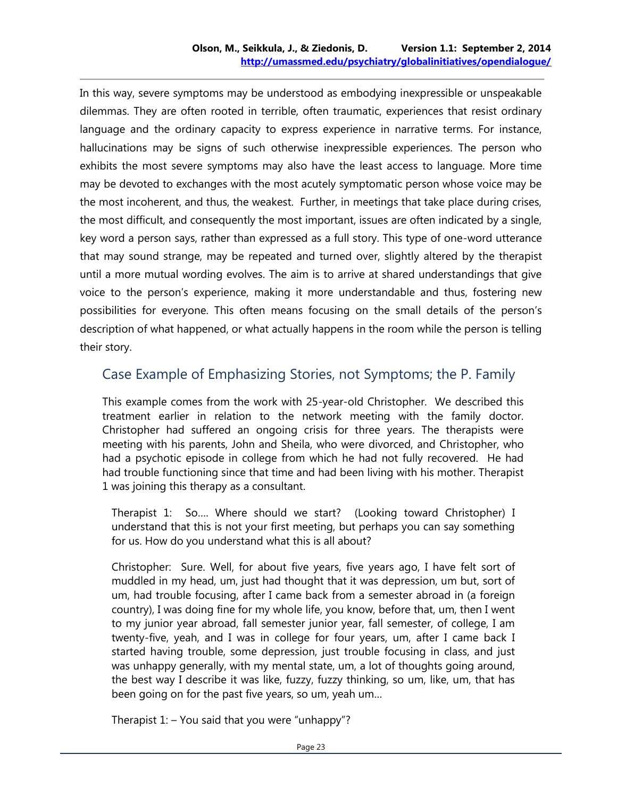In this way, severe symptoms may be understood as embodying inexpressible or unspeakable dilemmas. They are often rooted in terrible, often traumatic, experiences that resist ordinary language and the ordinary capacity to express experience in narrative terms. For instance, hallucinations may be signs of such otherwise inexpressible experiences. The person who exhibits the most severe symptoms may also have the least access to language. More time may be devoted to exchanges with the most acutely symptomatic person whose voice may be the most incoherent, and thus, the weakest. Further, in meetings that take place during crises, the most difficult, and consequently the most important, issues are often indicated by a single, key word a person says, rather than expressed as a full story. This type of one-word utterance that may sound strange, may be repeated and turned over, slightly altered by the therapist until a more mutual wording evolves. The aim is to arrive at shared understandings that give voice to the person's experience, making it more understandable and thus, fostering new possibilities for everyone. This often means focusing on the small details of the person's description of what happened, or what actually happens in the room while the person is telling their story.

# Case Example of Emphasizing Stories, not Symptoms; the P. Family

This example comes from the work with 25-year-old Christopher. We described this treatment earlier in relation to the network meeting with the family doctor. Christopher had suffered an ongoing crisis for three years. The therapists were meeting with his parents, John and Sheila, who were divorced, and Christopher, who had a psychotic episode in college from which he had not fully recovered. He had had trouble functioning since that time and had been living with his mother. Therapist 1 was joining this therapy as a consultant.

Therapist 1: So…. Where should we start? (Looking toward Christopher) I understand that this is not your first meeting, but perhaps you can say something for us. How do you understand what this is all about?

Christopher: Sure. Well, for about five years, five years ago, I have felt sort of muddled in my head, um, just had thought that it was depression, um but, sort of um, had trouble focusing, after I came back from a semester abroad in (a foreign country), I was doing fine for my whole life, you know, before that, um, then I went to my junior year abroad, fall semester junior year, fall semester, of college, I am twenty-five, yeah, and I was in college for four years, um, after I came back I started having trouble, some depression, just trouble focusing in class, and just was unhappy generally, with my mental state, um, a lot of thoughts going around, the best way I describe it was like, fuzzy, fuzzy thinking, so um, like, um, that has been going on for the past five years, so um, yeah um…

Therapist  $1:$  – You said that you were "unhappy"?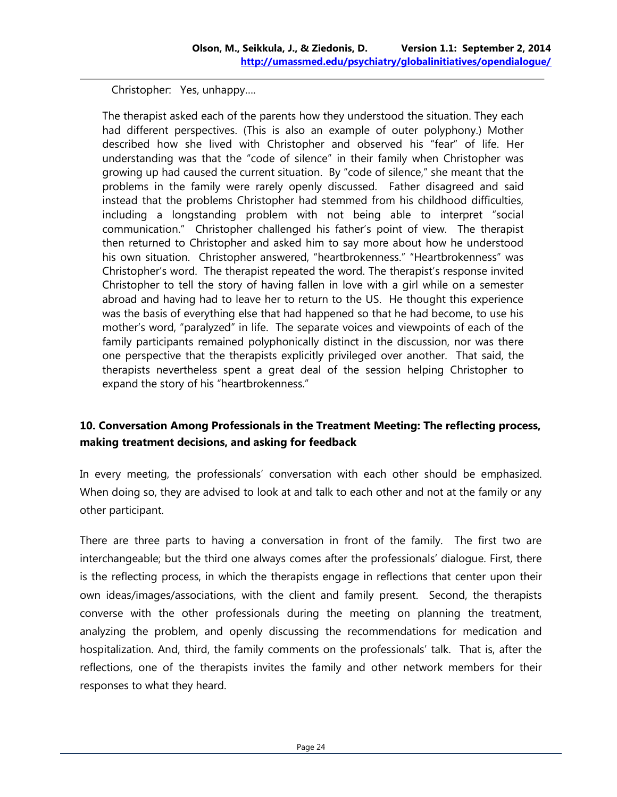Christopher: Yes, unhappy….

The therapist asked each of the parents how they understood the situation. They each had different perspectives. (This is also an example of outer polyphony.) Mother described how she lived with Christopher and observed his "fear" of life. Her understanding was that the "code of silence" in their family when Christopher was growing up had caused the current situation. By "code of silence," she meant that the problems in the family were rarely openly discussed. Father disagreed and said instead that the problems Christopher had stemmed from his childhood difficulties, including a longstanding problem with not being able to interpret "social communication." Christopher challenged his father's point of view. The therapist then returned to Christopher and asked him to say more about how he understood his own situation. Christopher answered, "heartbrokenness." "Heartbrokenness" was Christopher's word. The therapist repeated the word. The therapist's response invited Christopher to tell the story of having fallen in love with a girl while on a semester abroad and having had to leave her to return to the US. He thought this experience was the basis of everything else that had happened so that he had become, to use his mother's word, "paralyzed" in life. The separate voices and viewpoints of each of the family participants remained polyphonically distinct in the discussion, nor was there one perspective that the therapists explicitly privileged over another. That said, the therapists nevertheless spent a great deal of the session helping Christopher to expand the story of his "heartbrokenness."

#### **10. Conversation Among Professionals in the Treatment Meeting: The reflecting process, making treatment decisions, and asking for feedback**

In every meeting, the professionals' conversation with each other should be emphasized. When doing so, they are advised to look at and talk to each other and not at the family or any other participant.

There are three parts to having a conversation in front of the family. The first two are interchangeable; but the third one always comes after the professionals' dialogue. First, there is the reflecting process, in which the therapists engage in reflections that center upon their own ideas/images/associations, with the client and family present. Second, the therapists converse with the other professionals during the meeting on planning the treatment, analyzing the problem, and openly discussing the recommendations for medication and hospitalization. And, third, the family comments on the professionals' talk. That is, after the reflections, one of the therapists invites the family and other network members for their responses to what they heard.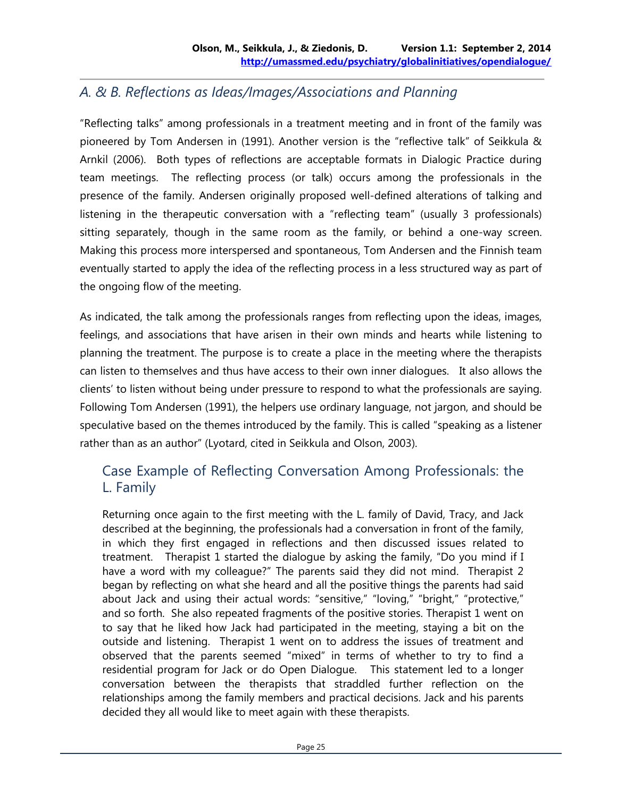## *A. & B. Reflections as Ideas/Images/Associations and Planning*

"Reflecting talks" among professionals in a treatment meeting and in front of the family was pioneered by Tom Andersen in (1991). Another version is the "reflective talk" of Seikkula & Arnkil (2006). Both types of reflections are acceptable formats in Dialogic Practice during team meetings. The reflecting process (or talk) occurs among the professionals in the presence of the family. Andersen originally proposed well-defined alterations of talking and listening in the therapeutic conversation with a "reflecting team" (usually 3 professionals) sitting separately, though in the same room as the family, or behind a one-way screen. Making this process more interspersed and spontaneous, Tom Andersen and the Finnish team eventually started to apply the idea of the reflecting process in a less structured way as part of the ongoing flow of the meeting.

As indicated, the talk among the professionals ranges from reflecting upon the ideas, images, feelings, and associations that have arisen in their own minds and hearts while listening to planning the treatment. The purpose is to create a place in the meeting where the therapists can listen to themselves and thus have access to their own inner dialogues. It also allows the clients' to listen without being under pressure to respond to what the professionals are saying. Following Tom Andersen (1991), the helpers use ordinary language, not jargon, and should be speculative based on the themes introduced by the family. This is called "speaking as a listener rather than as an author" (Lyotard, cited in Seikkula and Olson, 2003).

## Case Example of Reflecting Conversation Among Professionals: the L. Family

Returning once again to the first meeting with the L. family of David, Tracy, and Jack described at the beginning, the professionals had a conversation in front of the family, in which they first engaged in reflections and then discussed issues related to treatment. Therapist 1 started the dialogue by asking the family, "Do you mind if I have a word with my colleague?" The parents said they did not mind. Therapist 2 began by reflecting on what she heard and all the positive things the parents had said about Jack and using their actual words: "sensitive," "loving," "bright," "protective," and so forth. She also repeated fragments of the positive stories. Therapist 1 went on to say that he liked how Jack had participated in the meeting, staying a bit on the outside and listening. Therapist 1 went on to address the issues of treatment and observed that the parents seemed "mixed" in terms of whether to try to find a residential program for Jack or do Open Dialogue. This statement led to a longer conversation between the therapists that straddled further reflection on the relationships among the family members and practical decisions. Jack and his parents decided they all would like to meet again with these therapists.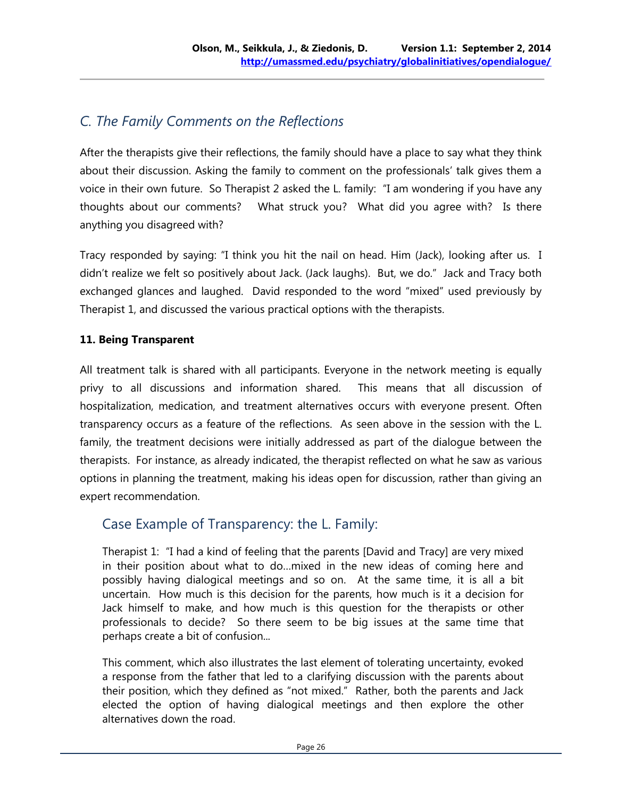# *C. The Family Comments on the Reflections*

After the therapists give their reflections, the family should have a place to say what they think about their discussion. Asking the family to comment on the professionals' talk gives them a voice in their own future. So Therapist 2 asked the L. family: "I am wondering if you have any thoughts about our comments? What struck you? What did you agree with? Is there anything you disagreed with?

Tracy responded by saying: "I think you hit the nail on head. Him (Jack), looking after us. I didn't realize we felt so positively about Jack. (Jack laughs). But, we do." Jack and Tracy both exchanged glances and laughed. David responded to the word "mixed" used previously by Therapist 1, and discussed the various practical options with the therapists.

#### **11. Being Transparent**

All treatment talk is shared with all participants. Everyone in the network meeting is equally privy to all discussions and information shared. This means that all discussion of hospitalization, medication, and treatment alternatives occurs with everyone present. Often transparency occurs as a feature of the reflections. As seen above in the session with the L. family, the treatment decisions were initially addressed as part of the dialogue between the therapists. For instance, as already indicated, the therapist reflected on what he saw as various options in planning the treatment, making his ideas open for discussion, rather than giving an expert recommendation.

# Case Example of Transparency: the L. Family:

Therapist 1: "I had a kind of feeling that the parents [David and Tracy] are very mixed in their position about what to do…mixed in the new ideas of coming here and possibly having dialogical meetings and so on. At the same time, it is all a bit uncertain. How much is this decision for the parents, how much is it a decision for Jack himself to make, and how much is this question for the therapists or other professionals to decide? So there seem to be big issues at the same time that perhaps create a bit of confusion...

This comment, which also illustrates the last element of tolerating uncertainty, evoked a response from the father that led to a clarifying discussion with the parents about their position, which they defined as "not mixed." Rather, both the parents and Jack elected the option of having dialogical meetings and then explore the other alternatives down the road.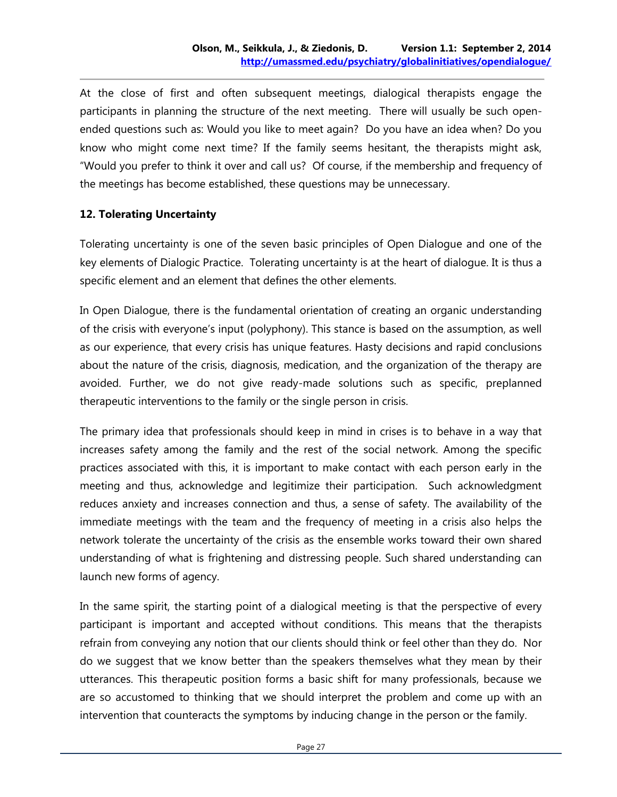At the close of first and often subsequent meetings, dialogical therapists engage the participants in planning the structure of the next meeting. There will usually be such openended questions such as: Would you like to meet again? Do you have an idea when? Do you know who might come next time? If the family seems hesitant, the therapists might ask, "Would you prefer to think it over and call us? Of course, if the membership and frequency of the meetings has become established, these questions may be unnecessary.

#### **12. Tolerating Uncertainty**

Tolerating uncertainty is one of the seven basic principles of Open Dialogue and one of the key elements of Dialogic Practice. Tolerating uncertainty is at the heart of dialogue. It is thus a specific element and an element that defines the other elements.

In Open Dialogue, there is the fundamental orientation of creating an organic understanding of the crisis with everyone's input (polyphony). This stance is based on the assumption, as well as our experience, that every crisis has unique features. Hasty decisions and rapid conclusions about the nature of the crisis, diagnosis, medication, and the organization of the therapy are avoided. Further, we do not give ready-made solutions such as specific, preplanned therapeutic interventions to the family or the single person in crisis.

The primary idea that professionals should keep in mind in crises is to behave in a way that increases safety among the family and the rest of the social network. Among the specific practices associated with this, it is important to make contact with each person early in the meeting and thus, acknowledge and legitimize their participation. Such acknowledgment reduces anxiety and increases connection and thus, a sense of safety. The availability of the immediate meetings with the team and the frequency of meeting in a crisis also helps the network tolerate the uncertainty of the crisis as the ensemble works toward their own shared understanding of what is frightening and distressing people. Such shared understanding can launch new forms of agency.

In the same spirit, the starting point of a dialogical meeting is that the perspective of every participant is important and accepted without conditions. This means that the therapists refrain from conveying any notion that our clients should think or feel other than they do. Nor do we suggest that we know better than the speakers themselves what they mean by their utterances. This therapeutic position forms a basic shift for many professionals, because we are so accustomed to thinking that we should interpret the problem and come up with an intervention that counteracts the symptoms by inducing change in the person or the family.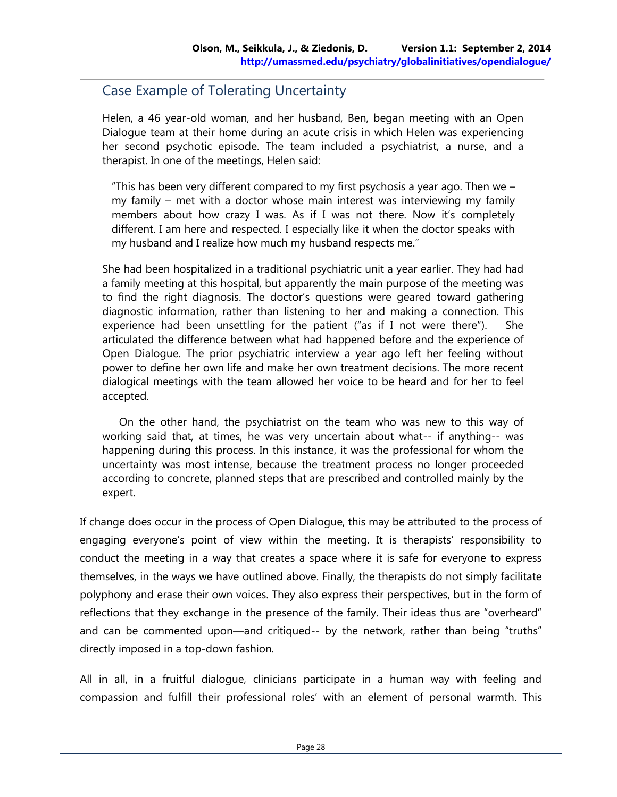## Case Example of Tolerating Uncertainty

Helen, a 46 year-old woman, and her husband, Ben, began meeting with an Open Dialogue team at their home during an acute crisis in which Helen was experiencing her second psychotic episode. The team included a psychiatrist, a nurse, and a therapist. In one of the meetings, Helen said:

"This has been very different compared to my first psychosis a year ago. Then we  $$ my family – met with a doctor whose main interest was interviewing my family members about how crazy I was. As if I was not there. Now it's completely different. I am here and respected. I especially like it when the doctor speaks with my husband and I realize how much my husband respects me."

She had been hospitalized in a traditional psychiatric unit a year earlier. They had had a family meeting at this hospital, but apparently the main purpose of the meeting was to find the right diagnosis. The doctor's questions were geared toward gathering diagnostic information, rather than listening to her and making a connection. This experience had been unsettling for the patient ("as if I not were there"). She articulated the difference between what had happened before and the experience of Open Dialogue. The prior psychiatric interview a year ago left her feeling without power to define her own life and make her own treatment decisions. The more recent dialogical meetings with the team allowed her voice to be heard and for her to feel accepted.

On the other hand, the psychiatrist on the team who was new to this way of working said that, at times, he was very uncertain about what-- if anything-- was happening during this process. In this instance, it was the professional for whom the uncertainty was most intense, because the treatment process no longer proceeded according to concrete, planned steps that are prescribed and controlled mainly by the expert.

If change does occur in the process of Open Dialogue, this may be attributed to the process of engaging everyone's point of view within the meeting. It is therapists' responsibility to conduct the meeting in a way that creates a space where it is safe for everyone to express themselves, in the ways we have outlined above. Finally, the therapists do not simply facilitate polyphony and erase their own voices. They also express their perspectives, but in the form of reflections that they exchange in the presence of the family. Their ideas thus are "overheard" and can be commented upon—and critiqued-- by the network, rather than being "truths" directly imposed in a top-down fashion.

All in all, in a fruitful dialogue, clinicians participate in a human way with feeling and compassion and fulfill their professional roles' with an element of personal warmth. This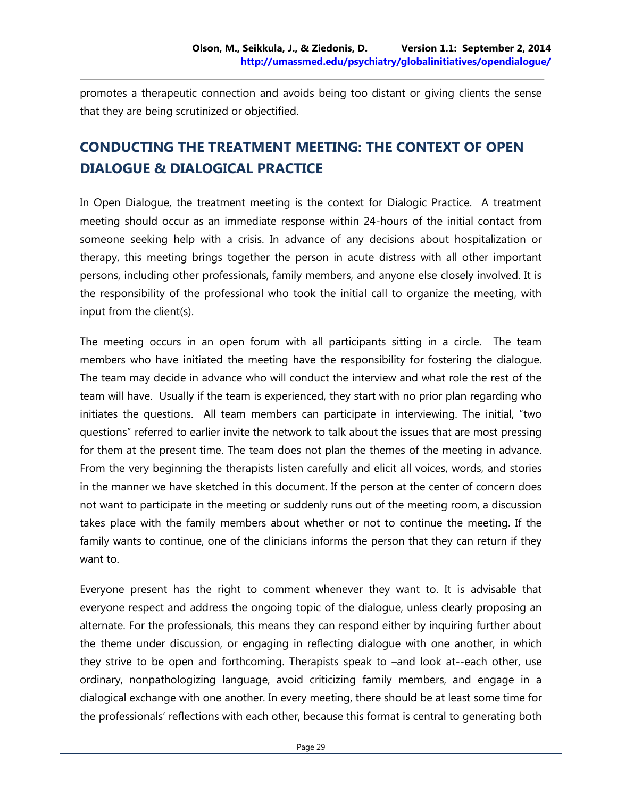promotes a therapeutic connection and avoids being too distant or giving clients the sense that they are being scrutinized or objectified.

# **CONDUCTING THE TREATMENT MEETING: THE CONTEXT OF OPEN DIALOGUE & DIALOGICAL PRACTICE**

In Open Dialogue, the treatment meeting is the context for Dialogic Practice. A treatment meeting should occur as an immediate response within 24-hours of the initial contact from someone seeking help with a crisis. In advance of any decisions about hospitalization or therapy, this meeting brings together the person in acute distress with all other important persons, including other professionals, family members, and anyone else closely involved. It is the responsibility of the professional who took the initial call to organize the meeting, with input from the client(s).

The meeting occurs in an open forum with all participants sitting in a circle. The team members who have initiated the meeting have the responsibility for fostering the dialogue. The team may decide in advance who will conduct the interview and what role the rest of the team will have. Usually if the team is experienced, they start with no prior plan regarding who initiates the questions. All team members can participate in interviewing. The initial, "two questions" referred to earlier invite the network to talk about the issues that are most pressing for them at the present time. The team does not plan the themes of the meeting in advance. From the very beginning the therapists listen carefully and elicit all voices, words, and stories in the manner we have sketched in this document. If the person at the center of concern does not want to participate in the meeting or suddenly runs out of the meeting room, a discussion takes place with the family members about whether or not to continue the meeting. If the family wants to continue, one of the clinicians informs the person that they can return if they want to.

Everyone present has the right to comment whenever they want to. It is advisable that everyone respect and address the ongoing topic of the dialogue, unless clearly proposing an alternate. For the professionals, this means they can respond either by inquiring further about the theme under discussion, or engaging in reflecting dialogue with one another, in which they strive to be open and forthcoming. Therapists speak to –and look at--each other, use ordinary, nonpathologizing language, avoid criticizing family members, and engage in a dialogical exchange with one another. In every meeting, there should be at least some time for the professionals' reflections with each other, because this format is central to generating both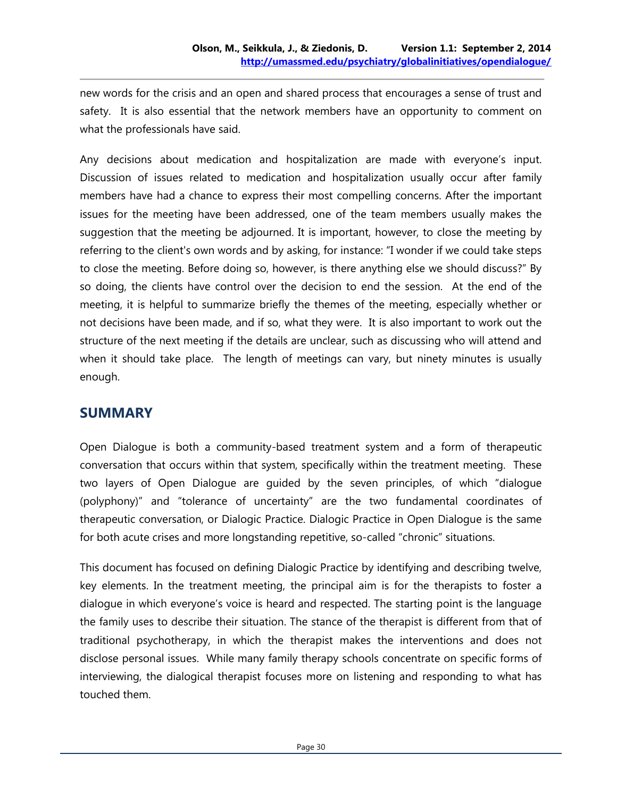new words for the crisis and an open and shared process that encourages a sense of trust and safety. It is also essential that the network members have an opportunity to comment on what the professionals have said.

Any decisions about medication and hospitalization are made with everyone's input. Discussion of issues related to medication and hospitalization usually occur after family members have had a chance to express their most compelling concerns. After the important issues for the meeting have been addressed, one of the team members usually makes the suggestion that the meeting be adjourned. It is important, however, to close the meeting by referring to the client's own words and by asking, for instance: "I wonder if we could take steps to close the meeting. Before doing so, however, is there anything else we should discuss?" By so doing, the clients have control over the decision to end the session. At the end of the meeting, it is helpful to summarize briefly the themes of the meeting, especially whether or not decisions have been made, and if so, what they were. It is also important to work out the structure of the next meeting if the details are unclear, such as discussing who will attend and when it should take place. The length of meetings can vary, but ninety minutes is usually enough.

## **SUMMARY**

Open Dialogue is both a community-based treatment system and a form of therapeutic conversation that occurs within that system, specifically within the treatment meeting. These two layers of Open Dialogue are guided by the seven principles, of which "dialogue (polyphony)" and "tolerance of uncertainty" are the two fundamental coordinates of therapeutic conversation, or Dialogic Practice. Dialogic Practice in Open Dialogue is the same for both acute crises and more longstanding repetitive, so-called "chronic" situations.

This document has focused on defining Dialogic Practice by identifying and describing twelve, key elements. In the treatment meeting, the principal aim is for the therapists to foster a dialogue in which everyone's voice is heard and respected. The starting point is the language the family uses to describe their situation. The stance of the therapist is different from that of traditional psychotherapy, in which the therapist makes the interventions and does not disclose personal issues. While many family therapy schools concentrate on specific forms of interviewing, the dialogical therapist focuses more on listening and responding to what has touched them.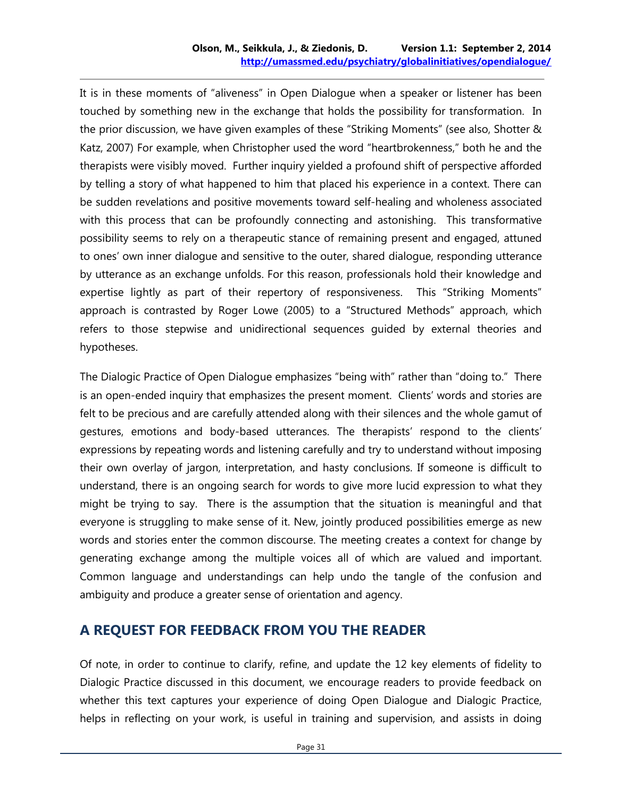It is in these moments of "aliveness" in Open Dialogue when a speaker or listener has been touched by something new in the exchange that holds the possibility for transformation. In the prior discussion, we have given examples of these "Striking Moments" (see also, Shotter & Katz, 2007) For example, when Christopher used the word "heartbrokenness," both he and the therapists were visibly moved. Further inquiry yielded a profound shift of perspective afforded by telling a story of what happened to him that placed his experience in a context. There can be sudden revelations and positive movements toward self-healing and wholeness associated with this process that can be profoundly connecting and astonishing. This transformative possibility seems to rely on a therapeutic stance of remaining present and engaged, attuned to ones' own inner dialogue and sensitive to the outer, shared dialogue, responding utterance by utterance as an exchange unfolds. For this reason, professionals hold their knowledge and expertise lightly as part of their repertory of responsiveness. This "Striking Moments" approach is contrasted by Roger Lowe (2005) to a "Structured Methods" approach, which refers to those stepwise and unidirectional sequences guided by external theories and hypotheses.

The Dialogic Practice of Open Dialogue emphasizes "being with" rather than "doing to." There is an open-ended inquiry that emphasizes the present moment. Clients' words and stories are felt to be precious and are carefully attended along with their silences and the whole gamut of gestures, emotions and body-based utterances. The therapists' respond to the clients' expressions by repeating words and listening carefully and try to understand without imposing their own overlay of jargon, interpretation, and hasty conclusions. If someone is difficult to understand, there is an ongoing search for words to give more lucid expression to what they might be trying to say. There is the assumption that the situation is meaningful and that everyone is struggling to make sense of it. New, jointly produced possibilities emerge as new words and stories enter the common discourse. The meeting creates a context for change by generating exchange among the multiple voices all of which are valued and important. Common language and understandings can help undo the tangle of the confusion and ambiguity and produce a greater sense of orientation and agency.

#### **A REQUEST FOR FEEDBACK FROM YOU THE READER**

Of note, in order to continue to clarify, refine, and update the 12 key elements of fidelity to Dialogic Practice discussed in this document, we encourage readers to provide feedback on whether this text captures your experience of doing Open Dialogue and Dialogic Practice, helps in reflecting on your work, is useful in training and supervision, and assists in doing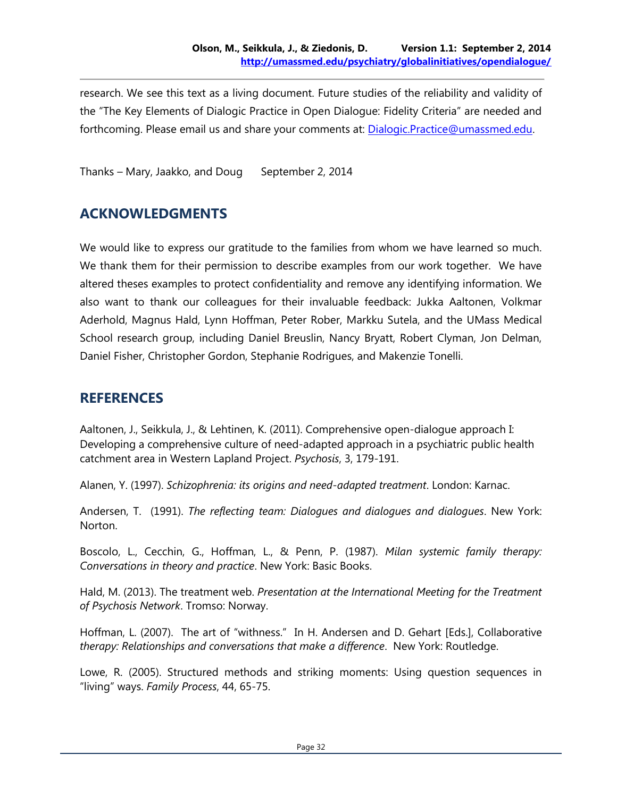research. We see this text as a living document. Future studies of the reliability and validity of the "The Key Elements of Dialogic Practice in Open Dialogue: Fidelity Criteria" are needed and forthcoming. Please email us and share your comments at: [Dialogic.Practice@umassmed.edu.](mailto:Dialogical.Practice@umassmed.edu)

Thanks – Mary, Jaakko, and Doug September 2, 2014

#### **ACKNOWLEDGMENTS**

We would like to express our gratitude to the families from whom we have learned so much. We thank them for their permission to describe examples from our work together. We have altered theses examples to protect confidentiality and remove any identifying information. We also want to thank our colleagues for their invaluable feedback: Jukka Aaltonen, Volkmar Aderhold, Magnus Hald, Lynn Hoffman, Peter Rober, Markku Sutela, and the UMass Medical School research group, including Daniel Breuslin, Nancy Bryatt, Robert Clyman, Jon Delman, Daniel Fisher, Christopher Gordon, Stephanie Rodrigues, and Makenzie Tonelli.

#### **REFERENCES**

Aaltonen, J., Seikkula, J., & Lehtinen, K. (2011). Comprehensive open-dialogue approach I: Developing a comprehensive culture of need-adapted approach in a psychiatric public health catchment area in Western Lapland Project. *Psychosis*, 3, 179-191.

Alanen, Y. (1997). *Schizophrenia: its origins and need-adapted treatment*. London: Karnac.

Andersen, T. (1991). *The reflecting team: Dialogues and dialogues and dialogues*. New York: Norton.

Boscolo, L., Cecchin, G., Hoffman, L., & Penn, P. (1987). *Milan systemic family therapy: Conversations in theory and practice*. New York: Basic Books.

Hald, M. (2013). The treatment web. *Presentation at the International Meeting for the Treatment of Psychosis Network*. Tromso: Norway.

Hoffman, L. (2007). The art of "withness." In H. Andersen and D. Gehart [Eds.], Collaborative *therapy: Relationships and conversations that make a difference*. New York: Routledge.

Lowe, R. (2005). Structured methods and striking moments: Using question sequences in "living" ways. *Family Process*, 44, 65-75.